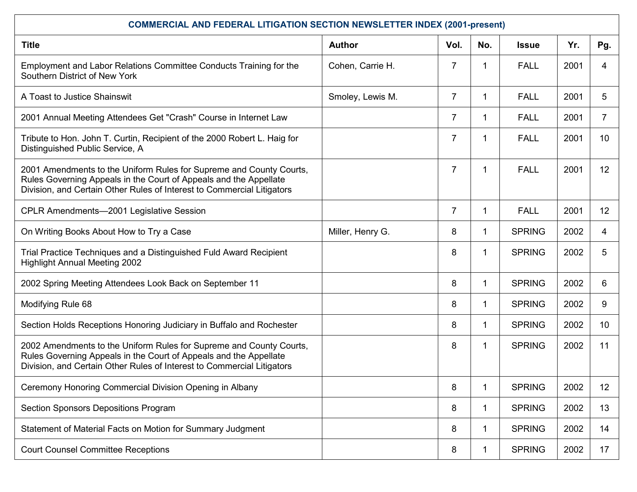| <b>COMMERCIAL AND FEDERAL LITIGATION SECTION NEWSLETTER INDEX (2001-present)</b>                                                                                                                                   |                  |                |              |               |      |     |  |
|--------------------------------------------------------------------------------------------------------------------------------------------------------------------------------------------------------------------|------------------|----------------|--------------|---------------|------|-----|--|
| <b>Title</b>                                                                                                                                                                                                       | <b>Author</b>    | Vol.           | No.          | <b>Issue</b>  | Yr.  | Pg. |  |
| Employment and Labor Relations Committee Conducts Training for the<br>Southern District of New York                                                                                                                | Cohen, Carrie H. | $\overline{7}$ | 1            | <b>FALL</b>   | 2001 | 4   |  |
| A Toast to Justice Shainswit                                                                                                                                                                                       | Smoley, Lewis M. | $\overline{7}$ | $\mathbf 1$  | <b>FALL</b>   | 2001 | 5   |  |
| 2001 Annual Meeting Attendees Get "Crash" Course in Internet Law                                                                                                                                                   |                  | $\overline{7}$ | 1.           | <b>FALL</b>   | 2001 | 7   |  |
| Tribute to Hon. John T. Curtin, Recipient of the 2000 Robert L. Haig for<br>Distinguished Public Service, A                                                                                                        |                  | $\overline{7}$ | 1            | <b>FALL</b>   | 2001 | 10  |  |
| 2001 Amendments to the Uniform Rules for Supreme and County Courts,<br>Rules Governing Appeals in the Court of Appeals and the Appellate<br>Division, and Certain Other Rules of Interest to Commercial Litigators |                  | $\overline{7}$ | 1            | <b>FALL</b>   | 2001 | 12  |  |
| <b>CPLR Amendments-2001 Legislative Session</b>                                                                                                                                                                    |                  | $\overline{7}$ | $\mathbf 1$  | <b>FALL</b>   | 2001 | 12  |  |
| On Writing Books About How to Try a Case                                                                                                                                                                           | Miller, Henry G. | 8              | $\mathbf 1$  | <b>SPRING</b> | 2002 | 4   |  |
| Trial Practice Techniques and a Distinguished Fuld Award Recipient<br><b>Highlight Annual Meeting 2002</b>                                                                                                         |                  | 8              | 1            | <b>SPRING</b> | 2002 | 5   |  |
| 2002 Spring Meeting Attendees Look Back on September 11                                                                                                                                                            |                  | 8              | $\mathbf{1}$ | <b>SPRING</b> | 2002 | 6   |  |
| Modifying Rule 68                                                                                                                                                                                                  |                  | 8              | $\mathbf 1$  | <b>SPRING</b> | 2002 | 9   |  |
| Section Holds Receptions Honoring Judiciary in Buffalo and Rochester                                                                                                                                               |                  | 8              | $\mathbf 1$  | <b>SPRING</b> | 2002 | 10  |  |
| 2002 Amendments to the Uniform Rules for Supreme and County Courts,<br>Rules Governing Appeals in the Court of Appeals and the Appellate<br>Division, and Certain Other Rules of Interest to Commercial Litigators |                  | 8              | 1            | <b>SPRING</b> | 2002 | 11  |  |
| Ceremony Honoring Commercial Division Opening in Albany                                                                                                                                                            |                  | 8              | 1            | <b>SPRING</b> | 2002 | 12  |  |
| <b>Section Sponsors Depositions Program</b>                                                                                                                                                                        |                  | 8              | 1            | <b>SPRING</b> | 2002 | 13  |  |
| Statement of Material Facts on Motion for Summary Judgment                                                                                                                                                         |                  | 8              | 1            | <b>SPRING</b> | 2002 | 14  |  |
| <b>Court Counsel Committee Receptions</b>                                                                                                                                                                          |                  | 8              | 1            | <b>SPRING</b> | 2002 | 17  |  |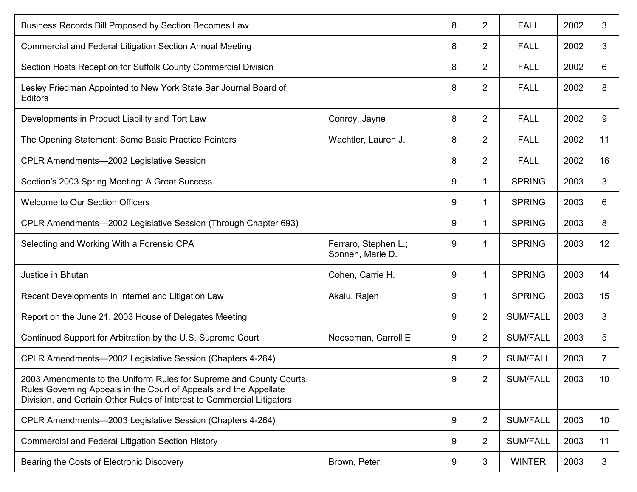| Business Records Bill Proposed by Section Becomes Law                                                                                                                                                              |                                          | 8 | $\mathbf{2}$   | <b>FALL</b>     | 2002 | 3               |
|--------------------------------------------------------------------------------------------------------------------------------------------------------------------------------------------------------------------|------------------------------------------|---|----------------|-----------------|------|-----------------|
| Commercial and Federal Litigation Section Annual Meeting                                                                                                                                                           |                                          | 8 | 2              | <b>FALL</b>     | 2002 | 3               |
| Section Hosts Reception for Suffolk County Commercial Division                                                                                                                                                     |                                          | 8 | 2              | <b>FALL</b>     | 2002 | 6               |
| Lesley Friedman Appointed to New York State Bar Journal Board of<br><b>Editors</b>                                                                                                                                 |                                          | 8 | $\overline{2}$ | <b>FALL</b>     | 2002 | 8               |
| Developments in Product Liability and Tort Law                                                                                                                                                                     | Conroy, Jayne                            | 8 | 2              | <b>FALL</b>     | 2002 | 9               |
| The Opening Statement: Some Basic Practice Pointers                                                                                                                                                                | Wachtler, Lauren J.                      | 8 | $\overline{2}$ | <b>FALL</b>     | 2002 | 11              |
| CPLR Amendments-2002 Legislative Session                                                                                                                                                                           |                                          | 8 | $\overline{2}$ | <b>FALL</b>     | 2002 | 16              |
| Section's 2003 Spring Meeting: A Great Success                                                                                                                                                                     |                                          | 9 | 1              | <b>SPRING</b>   | 2003 | 3               |
| <b>Welcome to Our Section Officers</b>                                                                                                                                                                             |                                          | 9 | $\mathbf 1$    | <b>SPRING</b>   | 2003 | 6               |
| CPLR Amendments-2002 Legislative Session (Through Chapter 693)                                                                                                                                                     |                                          | 9 | 1              | <b>SPRING</b>   | 2003 | 8               |
| Selecting and Working With a Forensic CPA                                                                                                                                                                          | Ferraro, Stephen L.;<br>Sonnen, Marie D. | 9 | 1              | <b>SPRING</b>   | 2003 | 12              |
| Justice in Bhutan                                                                                                                                                                                                  | Cohen, Carrie H.                         | 9 | 1              | <b>SPRING</b>   | 2003 | 14              |
| Recent Developments in Internet and Litigation Law                                                                                                                                                                 | Akalu, Rajen                             | 9 | 1              | <b>SPRING</b>   | 2003 | 15              |
| Report on the June 21, 2003 House of Delegates Meeting                                                                                                                                                             |                                          | 9 | $\overline{2}$ | <b>SUM/FALL</b> | 2003 | 3               |
| Continued Support for Arbitration by the U.S. Supreme Court                                                                                                                                                        | Neeseman, Carroll E.                     | 9 | $\overline{2}$ | <b>SUM/FALL</b> | 2003 | 5               |
| CPLR Amendments-2002 Legislative Session (Chapters 4-264)                                                                                                                                                          |                                          | 9 | $\overline{2}$ | <b>SUM/FALL</b> | 2003 | $\overline{7}$  |
| 2003 Amendments to the Uniform Rules for Supreme and County Courts,<br>Rules Governing Appeals in the Court of Appeals and the Appellate<br>Division, and Certain Other Rules of Interest to Commercial Litigators |                                          | 9 | $\overline{2}$ | <b>SUM/FALL</b> | 2003 | 10              |
| CPLR Amendments-2003 Legislative Session (Chapters 4-264)                                                                                                                                                          |                                          | 9 | $\overline{2}$ | <b>SUM/FALL</b> | 2003 | 10 <sup>°</sup> |
| <b>Commercial and Federal Litigation Section History</b>                                                                                                                                                           |                                          | 9 | $\overline{2}$ | <b>SUM/FALL</b> | 2003 | 11              |
| Bearing the Costs of Electronic Discovery                                                                                                                                                                          | Brown, Peter                             | 9 | 3              | <b>WINTER</b>   | 2003 | 3               |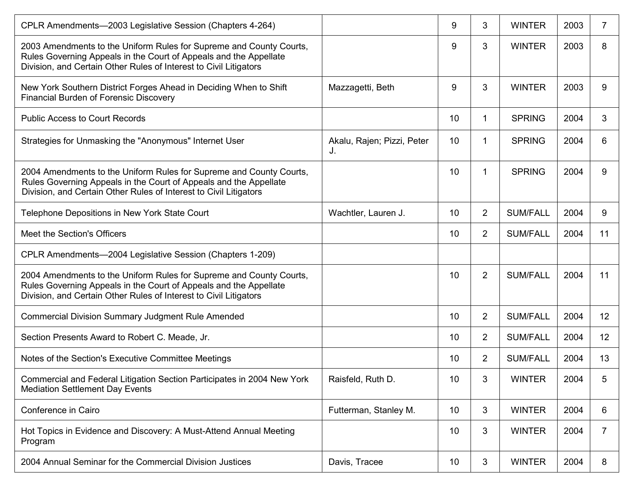| CPLR Amendments-2003 Legislative Session (Chapters 4-264)                                                                                                                                                     |                                  | 9               | 3              | <b>WINTER</b>   | 2003 |    |
|---------------------------------------------------------------------------------------------------------------------------------------------------------------------------------------------------------------|----------------------------------|-----------------|----------------|-----------------|------|----|
| 2003 Amendments to the Uniform Rules for Supreme and County Courts,<br>Rules Governing Appeals in the Court of Appeals and the Appellate<br>Division, and Certain Other Rules of Interest to Civil Litigators |                                  | 9               | 3              | <b>WINTER</b>   | 2003 | 8  |
| New York Southern District Forges Ahead in Deciding When to Shift<br><b>Financial Burden of Forensic Discovery</b>                                                                                            | Mazzagetti, Beth                 | 9               | 3              | <b>WINTER</b>   | 2003 | 9  |
| <b>Public Access to Court Records</b>                                                                                                                                                                         |                                  | 10              | 1              | <b>SPRING</b>   | 2004 | 3  |
| Strategies for Unmasking the "Anonymous" Internet User                                                                                                                                                        | Akalu, Rajen; Pizzi, Peter<br>J. | 10              | 1              | <b>SPRING</b>   | 2004 | 6  |
| 2004 Amendments to the Uniform Rules for Supreme and County Courts,<br>Rules Governing Appeals in the Court of Appeals and the Appellate<br>Division, and Certain Other Rules of Interest to Civil Litigators |                                  | 10              | 1              | <b>SPRING</b>   | 2004 | 9  |
| Telephone Depositions in New York State Court                                                                                                                                                                 | Wachtler, Lauren J.              | 10              | $\overline{2}$ | <b>SUM/FALL</b> | 2004 | 9  |
| Meet the Section's Officers                                                                                                                                                                                   |                                  | 10              | $\overline{2}$ | <b>SUM/FALL</b> | 2004 | 11 |
| CPLR Amendments-2004 Legislative Session (Chapters 1-209)                                                                                                                                                     |                                  |                 |                |                 |      |    |
| 2004 Amendments to the Uniform Rules for Supreme and County Courts,<br>Rules Governing Appeals in the Court of Appeals and the Appellate<br>Division, and Certain Other Rules of Interest to Civil Litigators |                                  | 10              | $\overline{2}$ | <b>SUM/FALL</b> | 2004 | 11 |
| <b>Commercial Division Summary Judgment Rule Amended</b>                                                                                                                                                      |                                  | 10 <sup>°</sup> | $\overline{2}$ | <b>SUM/FALL</b> | 2004 | 12 |
| Section Presents Award to Robert C. Meade, Jr.                                                                                                                                                                |                                  | 10              | $\overline{2}$ | <b>SUM/FALL</b> | 2004 | 12 |
| Notes of the Section's Executive Committee Meetings                                                                                                                                                           |                                  | 10              | $\overline{2}$ | <b>SUM/FALL</b> | 2004 | 13 |
| Commercial and Federal Litigation Section Participates in 2004 New York<br><b>Mediation Settlement Day Events</b>                                                                                             | Raisfeld, Ruth D.                | 10              | 3              | <b>WINTER</b>   | 2004 | 5  |
| Conference in Cairo                                                                                                                                                                                           | Futterman, Stanley M.            | 10              | 3              | <b>WINTER</b>   | 2004 | 6  |
| Hot Topics in Evidence and Discovery: A Must-Attend Annual Meeting<br>Program                                                                                                                                 |                                  | 10              | 3              | <b>WINTER</b>   | 2004 | 7  |
| 2004 Annual Seminar for the Commercial Division Justices                                                                                                                                                      | Davis, Tracee                    | 10              | 3              | <b>WINTER</b>   | 2004 | 8  |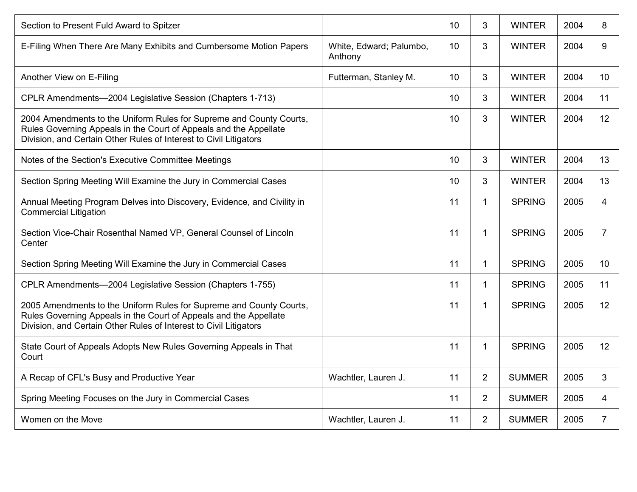| Section to Present Fuld Award to Spitzer                                                                                                                                                                      |                                    | 10 | 3              | <b>WINTER</b> | 2004 | 8              |
|---------------------------------------------------------------------------------------------------------------------------------------------------------------------------------------------------------------|------------------------------------|----|----------------|---------------|------|----------------|
| E-Filing When There Are Many Exhibits and Cumbersome Motion Papers                                                                                                                                            | White, Edward; Palumbo,<br>Anthony | 10 | 3              | <b>WINTER</b> | 2004 | 9              |
| Another View on E-Filing                                                                                                                                                                                      | Futterman, Stanley M.              | 10 | 3              | <b>WINTER</b> | 2004 | 10             |
| CPLR Amendments-2004 Legislative Session (Chapters 1-713)                                                                                                                                                     |                                    | 10 | 3              | <b>WINTER</b> | 2004 | 11             |
| 2004 Amendments to the Uniform Rules for Supreme and County Courts,<br>Rules Governing Appeals in the Court of Appeals and the Appellate<br>Division, and Certain Other Rules of Interest to Civil Litigators |                                    | 10 | 3              | <b>WINTER</b> | 2004 | 12             |
| Notes of the Section's Executive Committee Meetings                                                                                                                                                           |                                    | 10 | 3              | <b>WINTER</b> | 2004 | 13             |
| Section Spring Meeting Will Examine the Jury in Commercial Cases                                                                                                                                              |                                    | 10 | 3              | <b>WINTER</b> | 2004 | 13             |
| Annual Meeting Program Delves into Discovery, Evidence, and Civility in<br><b>Commercial Litigation</b>                                                                                                       |                                    | 11 | $\mathbf 1$    | <b>SPRING</b> | 2005 | 4              |
| Section Vice-Chair Rosenthal Named VP, General Counsel of Lincoln<br>Center                                                                                                                                   |                                    | 11 | 1              | <b>SPRING</b> | 2005 | $\overline{7}$ |
| Section Spring Meeting Will Examine the Jury in Commercial Cases                                                                                                                                              |                                    | 11 | $\mathbf 1$    | <b>SPRING</b> | 2005 | 10             |
| CPLR Amendments-2004 Legislative Session (Chapters 1-755)                                                                                                                                                     |                                    | 11 | $\mathbf 1$    | <b>SPRING</b> | 2005 | 11             |
| 2005 Amendments to the Uniform Rules for Supreme and County Courts,<br>Rules Governing Appeals in the Court of Appeals and the Appellate<br>Division, and Certain Other Rules of Interest to Civil Litigators |                                    | 11 | 1              | <b>SPRING</b> | 2005 | 12             |
| State Court of Appeals Adopts New Rules Governing Appeals in That<br>Court                                                                                                                                    |                                    | 11 | 1              | <b>SPRING</b> | 2005 | 12             |
| A Recap of CFL's Busy and Productive Year                                                                                                                                                                     | Wachtler, Lauren J.                | 11 | $\overline{2}$ | <b>SUMMER</b> | 2005 | 3              |
| Spring Meeting Focuses on the Jury in Commercial Cases                                                                                                                                                        |                                    | 11 | $\overline{2}$ | <b>SUMMER</b> | 2005 | 4              |
| Women on the Move                                                                                                                                                                                             | Wachtler, Lauren J.                | 11 | $\overline{2}$ | <b>SUMMER</b> | 2005 | $\overline{7}$ |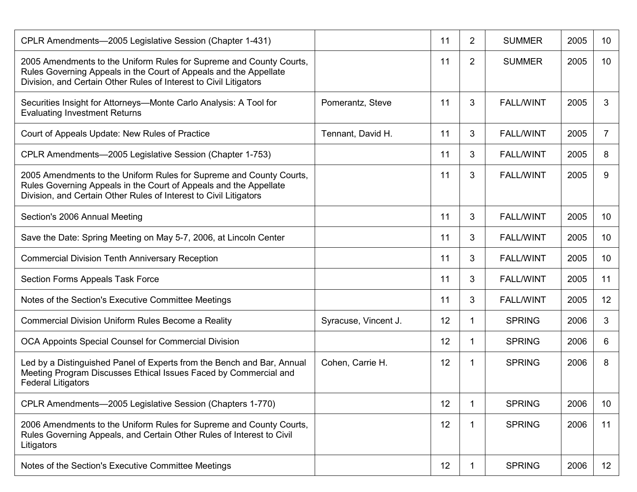| CPLR Amendments-2005 Legislative Session (Chapter 1-431)                                                                                                                                                      |                      | 11 | $\overline{2}$ | <b>SUMMER</b>    | 2005 | 10              |
|---------------------------------------------------------------------------------------------------------------------------------------------------------------------------------------------------------------|----------------------|----|----------------|------------------|------|-----------------|
| 2005 Amendments to the Uniform Rules for Supreme and County Courts,<br>Rules Governing Appeals in the Court of Appeals and the Appellate<br>Division, and Certain Other Rules of Interest to Civil Litigators |                      | 11 | $\overline{2}$ | <b>SUMMER</b>    | 2005 | 10              |
| Securities Insight for Attorneys—Monte Carlo Analysis: A Tool for<br><b>Evaluating Investment Returns</b>                                                                                                     | Pomerantz, Steve     | 11 | 3              | <b>FALL/WINT</b> | 2005 | 3               |
| Court of Appeals Update: New Rules of Practice                                                                                                                                                                | Tennant, David H.    | 11 | 3              | <b>FALL/WINT</b> | 2005 | 7               |
| CPLR Amendments-2005 Legislative Session (Chapter 1-753)                                                                                                                                                      |                      | 11 | 3              | <b>FALL/WINT</b> | 2005 | 8               |
| 2005 Amendments to the Uniform Rules for Supreme and County Courts,<br>Rules Governing Appeals in the Court of Appeals and the Appellate<br>Division, and Certain Other Rules of Interest to Civil Litigators |                      | 11 | 3              | <b>FALL/WINT</b> | 2005 | 9               |
| Section's 2006 Annual Meeting                                                                                                                                                                                 |                      | 11 | 3              | <b>FALL/WINT</b> | 2005 | 10 <sup>°</sup> |
| Save the Date: Spring Meeting on May 5-7, 2006, at Lincoln Center                                                                                                                                             |                      | 11 | 3              | <b>FALL/WINT</b> | 2005 | 10 <sup>°</sup> |
| <b>Commercial Division Tenth Anniversary Reception</b>                                                                                                                                                        |                      | 11 | 3              | <b>FALL/WINT</b> | 2005 | 10 <sup>°</sup> |
| Section Forms Appeals Task Force                                                                                                                                                                              |                      | 11 | 3              | <b>FALL/WINT</b> | 2005 | 11              |
| Notes of the Section's Executive Committee Meetings                                                                                                                                                           |                      | 11 | 3              | <b>FALL/WINT</b> | 2005 | 12              |
| Commercial Division Uniform Rules Become a Reality                                                                                                                                                            | Syracuse, Vincent J. | 12 | 1              | <b>SPRING</b>    | 2006 | 3               |
| OCA Appoints Special Counsel for Commercial Division                                                                                                                                                          |                      | 12 | 1              | <b>SPRING</b>    | 2006 | 6               |
| Led by a Distinguished Panel of Experts from the Bench and Bar, Annual<br>Meeting Program Discusses Ethical Issues Faced by Commercial and<br><b>Federal Litigators</b>                                       | Cohen, Carrie H.     | 12 | 1              | <b>SPRING</b>    | 2006 | 8               |
| CPLR Amendments-2005 Legislative Session (Chapters 1-770)                                                                                                                                                     |                      | 12 | 1              | <b>SPRING</b>    | 2006 | 10 <sup>°</sup> |
| 2006 Amendments to the Uniform Rules for Supreme and County Courts,<br>Rules Governing Appeals, and Certain Other Rules of Interest to Civil<br>Litigators                                                    |                      | 12 | 1              | <b>SPRING</b>    | 2006 | 11              |
| Notes of the Section's Executive Committee Meetings                                                                                                                                                           |                      | 12 | 1              | <b>SPRING</b>    | 2006 | 12 <sup>2</sup> |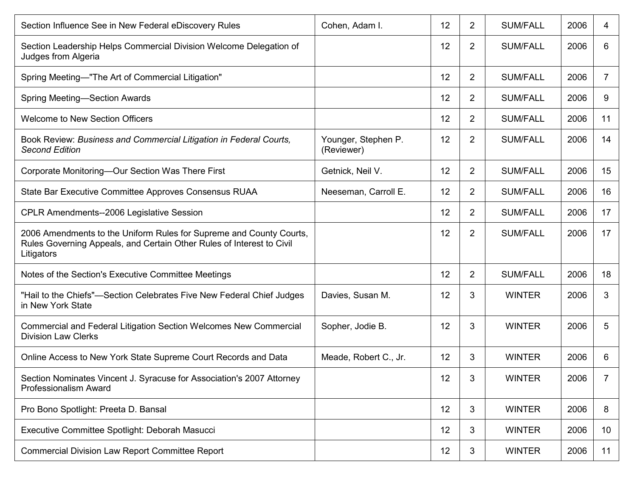| Section Influence See in New Federal eDiscovery Rules                                                                                                      | Cohen, Adam I.                    | 12 | $\overline{2}$ | <b>SUM/FALL</b> | 2006 | 4               |
|------------------------------------------------------------------------------------------------------------------------------------------------------------|-----------------------------------|----|----------------|-----------------|------|-----------------|
| Section Leadership Helps Commercial Division Welcome Delegation of<br>Judges from Algeria                                                                  |                                   | 12 | $\overline{2}$ | <b>SUM/FALL</b> | 2006 | 6               |
| Spring Meeting-"The Art of Commercial Litigation"                                                                                                          |                                   | 12 | $\overline{2}$ | <b>SUM/FALL</b> | 2006 | 7               |
| Spring Meeting-Section Awards                                                                                                                              |                                   | 12 | $\overline{2}$ | <b>SUM/FALL</b> | 2006 | 9               |
| <b>Welcome to New Section Officers</b>                                                                                                                     |                                   | 12 | $\overline{2}$ | <b>SUM/FALL</b> | 2006 | 11              |
| Book Review: Business and Commercial Litigation in Federal Courts,<br><b>Second Edition</b>                                                                | Younger, Stephen P.<br>(Reviewer) | 12 | $\overline{2}$ | <b>SUM/FALL</b> | 2006 | 14              |
| Corporate Monitoring-Our Section Was There First                                                                                                           | Getnick, Neil V.                  | 12 | $\overline{2}$ | <b>SUM/FALL</b> | 2006 | 15              |
| State Bar Executive Committee Approves Consensus RUAA                                                                                                      | Neeseman, Carroll E.              | 12 | $\overline{2}$ | <b>SUM/FALL</b> | 2006 | 16              |
| <b>CPLR Amendments--2006 Legislative Session</b>                                                                                                           |                                   | 12 | $\overline{2}$ | <b>SUM/FALL</b> | 2006 | 17              |
| 2006 Amendments to the Uniform Rules for Supreme and County Courts,<br>Rules Governing Appeals, and Certain Other Rules of Interest to Civil<br>Litigators |                                   | 12 | $\overline{2}$ | <b>SUM/FALL</b> | 2006 | 17              |
| Notes of the Section's Executive Committee Meetings                                                                                                        |                                   | 12 | $\overline{2}$ | <b>SUM/FALL</b> | 2006 | 18              |
| "Hail to the Chiefs"-Section Celebrates Five New Federal Chief Judges<br>in New York State                                                                 | Davies, Susan M.                  | 12 | 3              | <b>WINTER</b>   | 2006 | 3               |
| Commercial and Federal Litigation Section Welcomes New Commercial<br><b>Division Law Clerks</b>                                                            | Sopher, Jodie B.                  | 12 | 3              | <b>WINTER</b>   | 2006 | 5               |
| Online Access to New York State Supreme Court Records and Data                                                                                             | Meade, Robert C., Jr.             | 12 | 3              | <b>WINTER</b>   | 2006 | 6               |
| Section Nominates Vincent J. Syracuse for Association's 2007 Attorney<br><b>Professionalism Award</b>                                                      |                                   | 12 | 3              | <b>WINTER</b>   | 2006 |                 |
| Pro Bono Spotlight: Preeta D. Bansal                                                                                                                       |                                   | 12 | 3              | <b>WINTER</b>   | 2006 | 8               |
| Executive Committee Spotlight: Deborah Masucci                                                                                                             |                                   | 12 | 3              | <b>WINTER</b>   | 2006 | 10 <sup>°</sup> |
| <b>Commercial Division Law Report Committee Report</b>                                                                                                     |                                   | 12 | 3              | <b>WINTER</b>   | 2006 | 11              |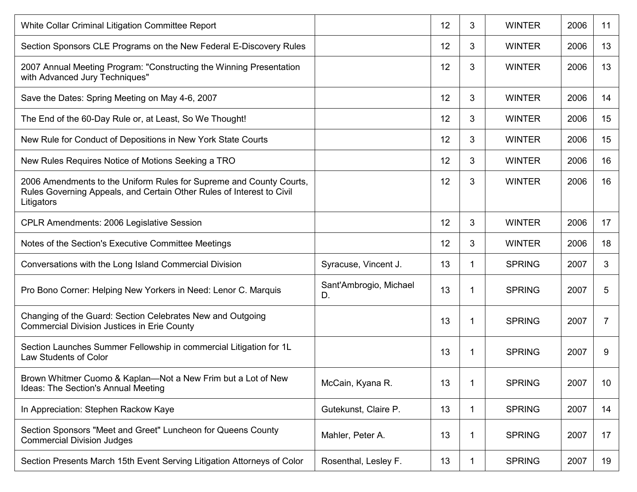| White Collar Criminal Litigation Committee Report                                                                                                          |                              | 12 | 3 | <b>WINTER</b> | 2006 | 11 |
|------------------------------------------------------------------------------------------------------------------------------------------------------------|------------------------------|----|---|---------------|------|----|
| Section Sponsors CLE Programs on the New Federal E-Discovery Rules                                                                                         |                              | 12 | 3 | <b>WINTER</b> | 2006 | 13 |
| 2007 Annual Meeting Program: "Constructing the Winning Presentation<br>with Advanced Jury Techniques"                                                      |                              | 12 | 3 | <b>WINTER</b> | 2006 | 13 |
| Save the Dates: Spring Meeting on May 4-6, 2007                                                                                                            |                              | 12 | 3 | <b>WINTER</b> | 2006 | 14 |
| The End of the 60-Day Rule or, at Least, So We Thought!                                                                                                    |                              | 12 | 3 | <b>WINTER</b> | 2006 | 15 |
| New Rule for Conduct of Depositions in New York State Courts                                                                                               |                              | 12 | 3 | <b>WINTER</b> | 2006 | 15 |
| New Rules Requires Notice of Motions Seeking a TRO                                                                                                         |                              | 12 | 3 | <b>WINTER</b> | 2006 | 16 |
| 2006 Amendments to the Uniform Rules for Supreme and County Courts,<br>Rules Governing Appeals, and Certain Other Rules of Interest to Civil<br>Litigators |                              | 12 | 3 | <b>WINTER</b> | 2006 | 16 |
| CPLR Amendments: 2006 Legislative Session                                                                                                                  |                              | 12 | 3 | <b>WINTER</b> | 2006 | 17 |
| Notes of the Section's Executive Committee Meetings                                                                                                        |                              | 12 | 3 | <b>WINTER</b> | 2006 | 18 |
| Conversations with the Long Island Commercial Division                                                                                                     | Syracuse, Vincent J.         | 13 | 1 | <b>SPRING</b> | 2007 | 3  |
| Pro Bono Corner: Helping New Yorkers in Need: Lenor C. Marquis                                                                                             | Sant'Ambrogio, Michael<br>D. | 13 | 1 | <b>SPRING</b> | 2007 | 5  |
| Changing of the Guard: Section Celebrates New and Outgoing<br><b>Commercial Division Justices in Erie County</b>                                           |                              | 13 | 1 | <b>SPRING</b> | 2007 | 7  |
| Section Launches Summer Fellowship in commercial Litigation for 1L<br>Law Students of Color                                                                |                              | 13 | 1 | <b>SPRING</b> | 2007 | 9  |
| Brown Whitmer Cuomo & Kaplan-Not a New Frim but a Lot of New<br><b>Ideas: The Section's Annual Meeting</b>                                                 | McCain, Kyana R.             | 13 | 1 | <b>SPRING</b> | 2007 | 10 |
| In Appreciation: Stephen Rackow Kaye                                                                                                                       | Gutekunst, Claire P.         | 13 | 1 | <b>SPRING</b> | 2007 | 14 |
| Section Sponsors "Meet and Greet" Luncheon for Queens County<br><b>Commercial Division Judges</b>                                                          | Mahler, Peter A.             | 13 | 1 | <b>SPRING</b> | 2007 | 17 |
| Section Presents March 15th Event Serving Litigation Attorneys of Color                                                                                    | Rosenthal, Lesley F.         | 13 | 1 | <b>SPRING</b> | 2007 | 19 |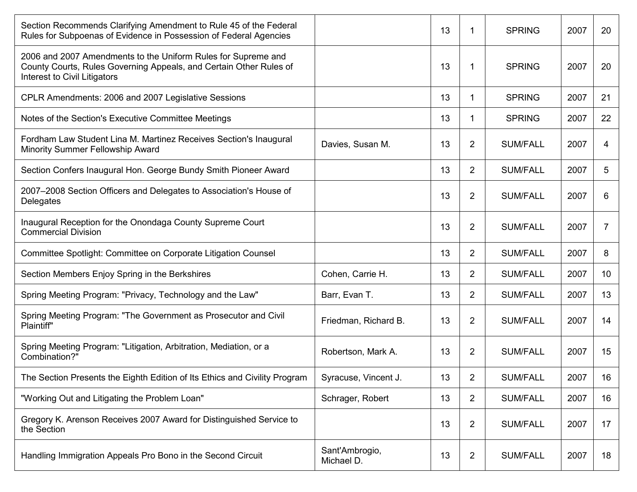| Section Recommends Clarifying Amendment to Rule 45 of the Federal<br>Rules for Subpoenas of Evidence in Possession of Federal Agencies                              |                              | 13 | 1              | <b>SPRING</b>   | 2007 | 20              |
|---------------------------------------------------------------------------------------------------------------------------------------------------------------------|------------------------------|----|----------------|-----------------|------|-----------------|
| 2006 and 2007 Amendments to the Uniform Rules for Supreme and<br>County Courts, Rules Governing Appeals, and Certain Other Rules of<br>Interest to Civil Litigators |                              | 13 | 1              | <b>SPRING</b>   | 2007 | 20              |
| CPLR Amendments: 2006 and 2007 Legislative Sessions                                                                                                                 |                              | 13 | 1              | <b>SPRING</b>   | 2007 | 21              |
| Notes of the Section's Executive Committee Meetings                                                                                                                 |                              | 13 | 1              | <b>SPRING</b>   | 2007 | 22              |
| Fordham Law Student Lina M. Martinez Receives Section's Inaugural<br>Minority Summer Fellowship Award                                                               | Davies, Susan M.             | 13 | $\overline{2}$ | <b>SUM/FALL</b> | 2007 | 4               |
| Section Confers Inaugural Hon. George Bundy Smith Pioneer Award                                                                                                     |                              | 13 | $\overline{2}$ | <b>SUM/FALL</b> | 2007 | 5               |
| 2007-2008 Section Officers and Delegates to Association's House of<br>Delegates                                                                                     |                              | 13 | $\overline{2}$ | <b>SUM/FALL</b> | 2007 | 6               |
| Inaugural Reception for the Onondaga County Supreme Court<br><b>Commercial Division</b>                                                                             |                              | 13 | $\overline{2}$ | <b>SUM/FALL</b> | 2007 | 7               |
| Committee Spotlight: Committee on Corporate Litigation Counsel                                                                                                      |                              | 13 | $\overline{2}$ | <b>SUM/FALL</b> | 2007 | 8               |
| Section Members Enjoy Spring in the Berkshires                                                                                                                      | Cohen, Carrie H.             | 13 | $\overline{2}$ | <b>SUM/FALL</b> | 2007 | 10 <sup>°</sup> |
| Spring Meeting Program: "Privacy, Technology and the Law"                                                                                                           | Barr, Evan T.                | 13 | $\overline{2}$ | <b>SUM/FALL</b> | 2007 | 13              |
| Spring Meeting Program: "The Government as Prosecutor and Civil<br>Plaintiff"                                                                                       | Friedman, Richard B.         | 13 | 2              | <b>SUM/FALL</b> | 2007 | 14              |
| Spring Meeting Program: "Litigation, Arbitration, Mediation, or a<br>Combination?"                                                                                  | Robertson, Mark A.           | 13 | $\overline{2}$ | <b>SUM/FALL</b> | 2007 | 15              |
| The Section Presents the Eighth Edition of Its Ethics and Civility Program                                                                                          | Syracuse, Vincent J.         | 13 | 2              | <b>SUM/FALL</b> | 2007 | 16              |
| "Working Out and Litigating the Problem Loan"                                                                                                                       | Schrager, Robert             | 13 | $\overline{2}$ | <b>SUM/FALL</b> | 2007 | 16              |
| Gregory K. Arenson Receives 2007 Award for Distinguished Service to<br>the Section                                                                                  |                              | 13 | $\overline{2}$ | <b>SUM/FALL</b> | 2007 | 17              |
| Handling Immigration Appeals Pro Bono in the Second Circuit                                                                                                         | Sant'Ambrogio,<br>Michael D. | 13 | $\overline{c}$ | <b>SUM/FALL</b> | 2007 | 18              |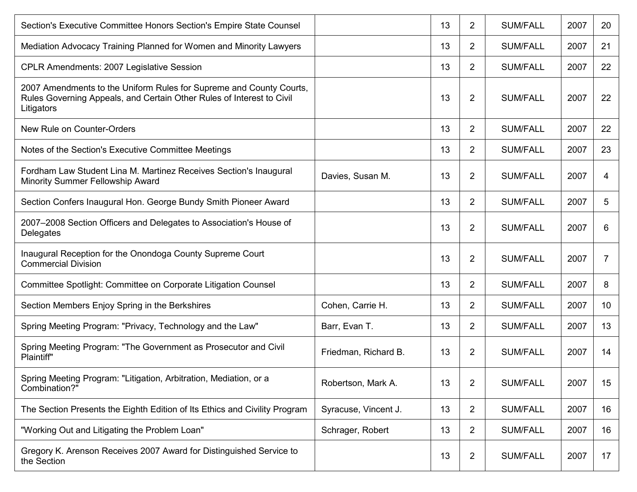| Section's Executive Committee Honors Section's Empire State Counsel                                                                                        |                      | 13 | 2              | <b>SUM/FALL</b> | 2007 | 20              |
|------------------------------------------------------------------------------------------------------------------------------------------------------------|----------------------|----|----------------|-----------------|------|-----------------|
| Mediation Advocacy Training Planned for Women and Minority Lawyers                                                                                         |                      | 13 | 2              | <b>SUM/FALL</b> | 2007 | 21              |
| <b>CPLR Amendments: 2007 Legislative Session</b>                                                                                                           |                      | 13 | 2              | <b>SUM/FALL</b> | 2007 | 22              |
| 2007 Amendments to the Uniform Rules for Supreme and County Courts,<br>Rules Governing Appeals, and Certain Other Rules of Interest to Civil<br>Litigators |                      | 13 | 2              | <b>SUM/FALL</b> | 2007 | 22              |
| New Rule on Counter-Orders                                                                                                                                 |                      | 13 | $\overline{2}$ | <b>SUM/FALL</b> | 2007 | 22              |
| Notes of the Section's Executive Committee Meetings                                                                                                        |                      | 13 | 2              | <b>SUM/FALL</b> | 2007 | 23              |
| Fordham Law Student Lina M. Martinez Receives Section's Inaugural<br>Minority Summer Fellowship Award                                                      | Davies, Susan M.     | 13 | 2              | <b>SUM/FALL</b> | 2007 | 4               |
| Section Confers Inaugural Hon. George Bundy Smith Pioneer Award                                                                                            |                      | 13 | 2              | <b>SUM/FALL</b> | 2007 | 5               |
| 2007–2008 Section Officers and Delegates to Association's House of<br>Delegates                                                                            |                      | 13 | 2              | <b>SUM/FALL</b> | 2007 | 6               |
| Inaugural Reception for the Onondoga County Supreme Court<br><b>Commercial Division</b>                                                                    |                      | 13 | 2              | <b>SUM/FALL</b> | 2007 | 7               |
| Committee Spotlight: Committee on Corporate Litigation Counsel                                                                                             |                      | 13 | 2              | <b>SUM/FALL</b> | 2007 | 8               |
| Section Members Enjoy Spring in the Berkshires                                                                                                             | Cohen, Carrie H.     | 13 | 2              | <b>SUM/FALL</b> | 2007 | 10 <sup>°</sup> |
| Spring Meeting Program: "Privacy, Technology and the Law"                                                                                                  | Barr, Evan T.        | 13 | 2              | <b>SUM/FALL</b> | 2007 | 13              |
| Spring Meeting Program: "The Government as Prosecutor and Civil<br>Plaintiff"                                                                              | Friedman, Richard B. | 13 | 2              | <b>SUM/FALL</b> | 2007 | 14              |
| Spring Meeting Program: "Litigation, Arbitration, Mediation, or a<br>Combination?"                                                                         | Robertson, Mark A.   | 13 | 2              | <b>SUM/FALL</b> | 2007 | 15              |
| The Section Presents the Eighth Edition of Its Ethics and Civility Program                                                                                 | Syracuse, Vincent J. | 13 | $\overline{c}$ | <b>SUM/FALL</b> | 2007 | 16              |
| "Working Out and Litigating the Problem Loan"                                                                                                              | Schrager, Robert     | 13 | 2              | <b>SUM/FALL</b> | 2007 | 16              |
| Gregory K. Arenson Receives 2007 Award for Distinguished Service to<br>the Section                                                                         |                      | 13 | $\overline{2}$ | <b>SUM/FALL</b> | 2007 | 17              |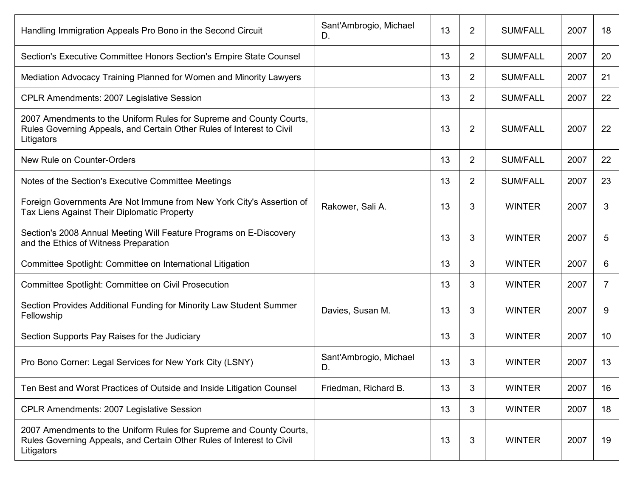| Handling Immigration Appeals Pro Bono in the Second Circuit                                                                                                | Sant'Ambrogio, Michael<br>D. | 13 | $\overline{2}$ | <b>SUM/FALL</b> | 2007 | 18             |
|------------------------------------------------------------------------------------------------------------------------------------------------------------|------------------------------|----|----------------|-----------------|------|----------------|
| Section's Executive Committee Honors Section's Empire State Counsel                                                                                        |                              | 13 | 2              | <b>SUM/FALL</b> | 2007 | 20             |
| Mediation Advocacy Training Planned for Women and Minority Lawyers                                                                                         |                              | 13 | $\overline{2}$ | <b>SUM/FALL</b> | 2007 | 21             |
| <b>CPLR Amendments: 2007 Legislative Session</b>                                                                                                           |                              | 13 | $\overline{2}$ | <b>SUM/FALL</b> | 2007 | 22             |
| 2007 Amendments to the Uniform Rules for Supreme and County Courts,<br>Rules Governing Appeals, and Certain Other Rules of Interest to Civil<br>Litigators |                              | 13 | $\overline{2}$ | <b>SUM/FALL</b> | 2007 | 22             |
| New Rule on Counter-Orders                                                                                                                                 |                              | 13 | $\overline{2}$ | <b>SUM/FALL</b> | 2007 | 22             |
| Notes of the Section's Executive Committee Meetings                                                                                                        |                              | 13 | 2              | <b>SUM/FALL</b> | 2007 | 23             |
| Foreign Governments Are Not Immune from New York City's Assertion of<br>Tax Liens Against Their Diplomatic Property                                        | Rakower, Sali A.             | 13 | 3              | <b>WINTER</b>   | 2007 | 3              |
| Section's 2008 Annual Meeting Will Feature Programs on E-Discovery<br>and the Ethics of Witness Preparation                                                |                              | 13 | 3              | <b>WINTER</b>   | 2007 | 5              |
| Committee Spotlight: Committee on International Litigation                                                                                                 |                              | 13 | 3              | <b>WINTER</b>   | 2007 | 6              |
| <b>Committee Spotlight: Committee on Civil Prosecution</b>                                                                                                 |                              | 13 | 3              | <b>WINTER</b>   | 2007 | $\overline{7}$ |
| Section Provides Additional Funding for Minority Law Student Summer<br>Fellowship                                                                          | Davies, Susan M.             | 13 | 3              | <b>WINTER</b>   | 2007 | 9              |
| Section Supports Pay Raises for the Judiciary                                                                                                              |                              | 13 | 3              | <b>WINTER</b>   | 2007 | 10             |
| Pro Bono Corner: Legal Services for New York City (LSNY)                                                                                                   | Sant'Ambrogio, Michael<br>D. | 13 | 3              | <b>WINTER</b>   | 2007 | 13             |
| Ten Best and Worst Practices of Outside and Inside Litigation Counsel                                                                                      | Friedman, Richard B.         | 13 | 3              | <b>WINTER</b>   | 2007 | 16             |
| <b>CPLR Amendments: 2007 Legislative Session</b>                                                                                                           |                              | 13 | 3              | <b>WINTER</b>   | 2007 | 18             |
| 2007 Amendments to the Uniform Rules for Supreme and County Courts,<br>Rules Governing Appeals, and Certain Other Rules of Interest to Civil<br>Litigators |                              | 13 | 3              | <b>WINTER</b>   | 2007 | 19             |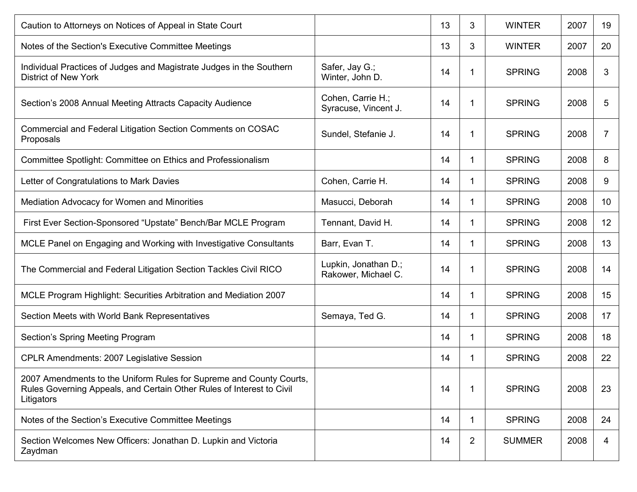| Caution to Attorneys on Notices of Appeal in State Court                                                                                                   |                                             | 13 | 3 | <b>WINTER</b> | 2007 | 19 |
|------------------------------------------------------------------------------------------------------------------------------------------------------------|---------------------------------------------|----|---|---------------|------|----|
| Notes of the Section's Executive Committee Meetings                                                                                                        |                                             | 13 | 3 | <b>WINTER</b> | 2007 | 20 |
| Individual Practices of Judges and Magistrate Judges in the Southern<br><b>District of New York</b>                                                        | Safer, Jay G.;<br>Winter, John D.           | 14 | 1 | <b>SPRING</b> | 2008 | 3  |
| Section's 2008 Annual Meeting Attracts Capacity Audience                                                                                                   | Cohen, Carrie H.;<br>Syracuse, Vincent J.   | 14 | 1 | <b>SPRING</b> | 2008 | 5  |
| Commercial and Federal Litigation Section Comments on COSAC<br>Proposals                                                                                   | Sundel, Stefanie J.                         | 14 | 1 | <b>SPRING</b> | 2008 | 7  |
| Committee Spotlight: Committee on Ethics and Professionalism                                                                                               |                                             | 14 | 1 | <b>SPRING</b> | 2008 | 8  |
| Letter of Congratulations to Mark Davies                                                                                                                   | Cohen, Carrie H.                            | 14 | 1 | <b>SPRING</b> | 2008 | 9  |
| Mediation Advocacy for Women and Minorities                                                                                                                | Masucci, Deborah                            | 14 | 1 | <b>SPRING</b> | 2008 | 10 |
| First Ever Section-Sponsored "Upstate" Bench/Bar MCLE Program                                                                                              | Tennant, David H.                           | 14 | 1 | <b>SPRING</b> | 2008 | 12 |
| MCLE Panel on Engaging and Working with Investigative Consultants                                                                                          | Barr, Evan T.                               | 14 | 1 | <b>SPRING</b> | 2008 | 13 |
| The Commercial and Federal Litigation Section Tackles Civil RICO                                                                                           | Lupkin, Jonathan D.;<br>Rakower, Michael C. | 14 | 1 | <b>SPRING</b> | 2008 | 14 |
| MCLE Program Highlight: Securities Arbitration and Mediation 2007                                                                                          |                                             | 14 | 1 | <b>SPRING</b> | 2008 | 15 |
| Section Meets with World Bank Representatives                                                                                                              | Semaya, Ted G.                              | 14 | 1 | <b>SPRING</b> | 2008 | 17 |
| Section's Spring Meeting Program                                                                                                                           |                                             | 14 | 1 | <b>SPRING</b> | 2008 | 18 |
| <b>CPLR Amendments: 2007 Legislative Session</b>                                                                                                           |                                             | 14 | 1 | <b>SPRING</b> | 2008 | 22 |
| 2007 Amendments to the Uniform Rules for Supreme and County Courts,<br>Rules Governing Appeals, and Certain Other Rules of Interest to Civil<br>Litigators |                                             | 14 | 1 | <b>SPRING</b> | 2008 | 23 |
| Notes of the Section's Executive Committee Meetings                                                                                                        |                                             | 14 | 1 | <b>SPRING</b> | 2008 | 24 |
| Section Welcomes New Officers: Jonathan D. Lupkin and Victoria<br>Zaydman                                                                                  |                                             | 14 | 2 | <b>SUMMER</b> | 2008 | 4  |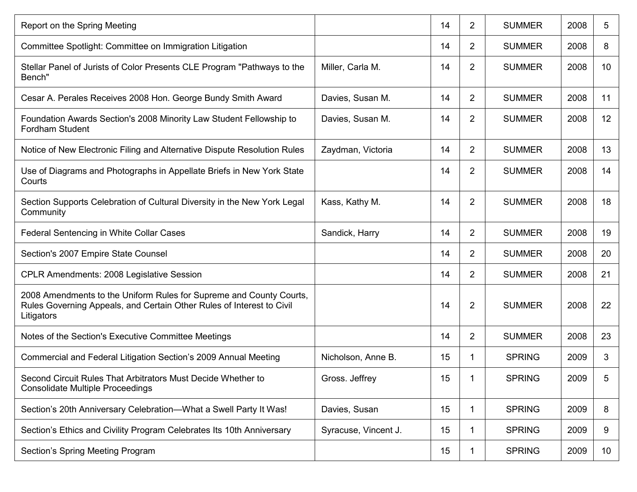| Report on the Spring Meeting                                                                                                                               |                      | 14 | 2              | <b>SUMMER</b> | 2008 | 5               |
|------------------------------------------------------------------------------------------------------------------------------------------------------------|----------------------|----|----------------|---------------|------|-----------------|
| Committee Spotlight: Committee on Immigration Litigation                                                                                                   |                      | 14 | $\overline{2}$ | <b>SUMMER</b> | 2008 | 8               |
| Stellar Panel of Jurists of Color Presents CLE Program "Pathways to the<br>Bench"                                                                          | Miller, Carla M.     | 14 | $\overline{2}$ | <b>SUMMER</b> | 2008 | 10              |
| Cesar A. Perales Receives 2008 Hon. George Bundy Smith Award                                                                                               | Davies, Susan M.     | 14 | $\overline{2}$ | <b>SUMMER</b> | 2008 | 11              |
| Foundation Awards Section's 2008 Minority Law Student Fellowship to<br><b>Fordham Student</b>                                                              | Davies, Susan M.     | 14 | 2              | <b>SUMMER</b> | 2008 | 12              |
| Notice of New Electronic Filing and Alternative Dispute Resolution Rules                                                                                   | Zaydman, Victoria    | 14 | 2              | <b>SUMMER</b> | 2008 | 13              |
| Use of Diagrams and Photographs in Appellate Briefs in New York State<br>Courts                                                                            |                      | 14 | 2              | <b>SUMMER</b> | 2008 | 14              |
| Section Supports Celebration of Cultural Diversity in the New York Legal<br>Community                                                                      | Kass, Kathy M.       | 14 | $\overline{2}$ | <b>SUMMER</b> | 2008 | 18              |
| Federal Sentencing in White Collar Cases                                                                                                                   | Sandick, Harry       | 14 | 2              | <b>SUMMER</b> | 2008 | 19              |
| Section's 2007 Empire State Counsel                                                                                                                        |                      | 14 | $\overline{2}$ | <b>SUMMER</b> | 2008 | 20              |
| <b>CPLR Amendments: 2008 Legislative Session</b>                                                                                                           |                      | 14 | $\overline{2}$ | <b>SUMMER</b> | 2008 | 21              |
| 2008 Amendments to the Uniform Rules for Supreme and County Courts,<br>Rules Governing Appeals, and Certain Other Rules of Interest to Civil<br>Litigators |                      | 14 | $\overline{2}$ | <b>SUMMER</b> | 2008 | 22              |
| Notes of the Section's Executive Committee Meetings                                                                                                        |                      | 14 | 2              | <b>SUMMER</b> | 2008 | 23              |
| Commercial and Federal Litigation Section's 2009 Annual Meeting                                                                                            | Nicholson, Anne B.   | 15 | 1              | <b>SPRING</b> | 2009 | 3               |
| Second Circuit Rules That Arbitrators Must Decide Whether to<br><b>Consolidate Multiple Proceedings</b>                                                    | Gross. Jeffrey       | 15 | 1              | <b>SPRING</b> | 2009 | 5               |
| Section's 20th Anniversary Celebration-What a Swell Party It Was!                                                                                          | Davies, Susan        | 15 | 1              | <b>SPRING</b> | 2009 | 8               |
| Section's Ethics and Civility Program Celebrates Its 10th Anniversary                                                                                      | Syracuse, Vincent J. | 15 | 1              | <b>SPRING</b> | 2009 | 9               |
| Section's Spring Meeting Program                                                                                                                           |                      | 15 | 1              | <b>SPRING</b> | 2009 | 10 <sup>°</sup> |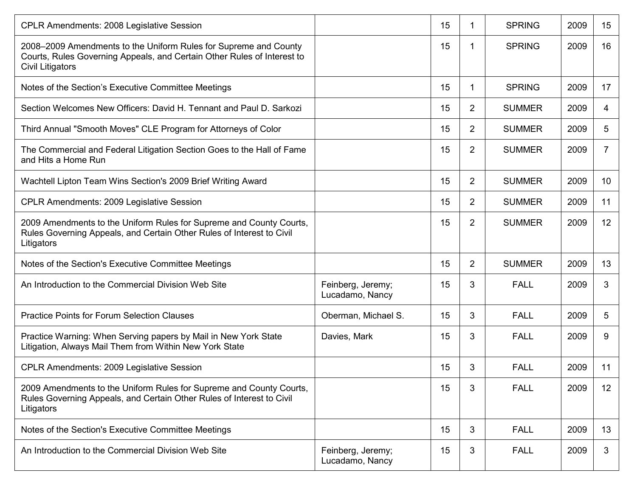| <b>CPLR Amendments: 2008 Legislative Session</b>                                                                                                                |                                      | 15 | 1              | <b>SPRING</b> | 2009 | 15             |
|-----------------------------------------------------------------------------------------------------------------------------------------------------------------|--------------------------------------|----|----------------|---------------|------|----------------|
| 2008–2009 Amendments to the Uniform Rules for Supreme and County<br>Courts, Rules Governing Appeals, and Certain Other Rules of Interest to<br>Civil Litigators |                                      | 15 | 1              | <b>SPRING</b> | 2009 | 16             |
| Notes of the Section's Executive Committee Meetings                                                                                                             |                                      | 15 | 1              | <b>SPRING</b> | 2009 | 17             |
| Section Welcomes New Officers: David H. Tennant and Paul D. Sarkozi                                                                                             |                                      | 15 | $\overline{2}$ | <b>SUMMER</b> | 2009 | 4              |
| Third Annual "Smooth Moves" CLE Program for Attorneys of Color                                                                                                  |                                      | 15 | $\overline{2}$ | <b>SUMMER</b> | 2009 | 5              |
| The Commercial and Federal Litigation Section Goes to the Hall of Fame<br>and Hits a Home Run                                                                   |                                      | 15 | $\overline{2}$ | <b>SUMMER</b> | 2009 | $\overline{7}$ |
| Wachtell Lipton Team Wins Section's 2009 Brief Writing Award                                                                                                    |                                      | 15 | $\overline{2}$ | <b>SUMMER</b> | 2009 | 10             |
| <b>CPLR Amendments: 2009 Legislative Session</b>                                                                                                                |                                      | 15 | $\overline{2}$ | <b>SUMMER</b> | 2009 | 11             |
| 2009 Amendments to the Uniform Rules for Supreme and County Courts,<br>Rules Governing Appeals, and Certain Other Rules of Interest to Civil<br>Litigators      |                                      | 15 | $\overline{2}$ | <b>SUMMER</b> | 2009 | 12             |
| Notes of the Section's Executive Committee Meetings                                                                                                             |                                      | 15 | $\overline{2}$ | <b>SUMMER</b> | 2009 | 13             |
| An Introduction to the Commercial Division Web Site                                                                                                             | Feinberg, Jeremy;<br>Lucadamo, Nancy | 15 | 3              | <b>FALL</b>   | 2009 | 3              |
| <b>Practice Points for Forum Selection Clauses</b>                                                                                                              | Oberman, Michael S.                  | 15 | 3              | <b>FALL</b>   | 2009 | 5              |
| Practice Warning: When Serving papers by Mail in New York State<br>Litigation, Always Mail Them from Within New York State                                      | Davies, Mark                         | 15 | 3              | <b>FALL</b>   | 2009 | 9              |
| <b>CPLR Amendments: 2009 Legislative Session</b>                                                                                                                |                                      | 15 | 3              | <b>FALL</b>   | 2009 | 11             |
| 2009 Amendments to the Uniform Rules for Supreme and County Courts,<br>Rules Governing Appeals, and Certain Other Rules of Interest to Civil<br>Litigators      |                                      | 15 | 3              | <b>FALL</b>   | 2009 | 12             |
| Notes of the Section's Executive Committee Meetings                                                                                                             |                                      | 15 | 3              | <b>FALL</b>   | 2009 | 13             |
| An Introduction to the Commercial Division Web Site                                                                                                             | Feinberg, Jeremy;<br>Lucadamo, Nancy | 15 | 3              | <b>FALL</b>   | 2009 | 3              |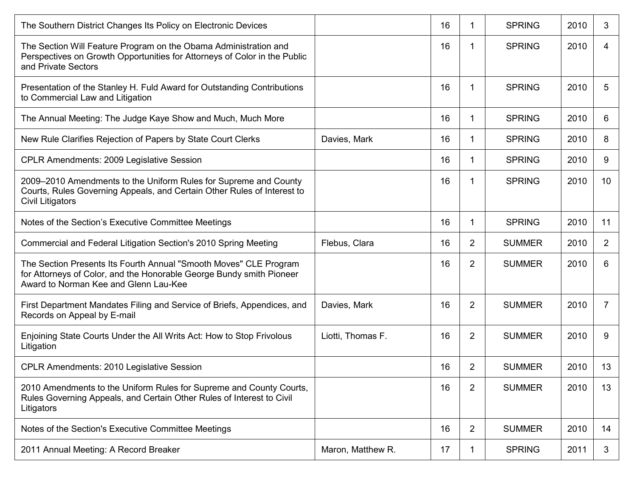| The Southern District Changes Its Policy on Electronic Devices                                                                                                                     |                   | 16 | 1              | <b>SPRING</b> | 2010 | 3              |
|------------------------------------------------------------------------------------------------------------------------------------------------------------------------------------|-------------------|----|----------------|---------------|------|----------------|
| The Section Will Feature Program on the Obama Administration and<br>Perspectives on Growth Opportunities for Attorneys of Color in the Public<br>and Private Sectors               |                   | 16 | 1              | <b>SPRING</b> | 2010 | 4              |
| Presentation of the Stanley H. Fuld Award for Outstanding Contributions<br>to Commercial Law and Litigation                                                                        |                   | 16 | 1              | <b>SPRING</b> | 2010 | 5              |
| The Annual Meeting: The Judge Kaye Show and Much, Much More                                                                                                                        |                   | 16 | 1              | <b>SPRING</b> | 2010 | 6              |
| New Rule Clarifies Rejection of Papers by State Court Clerks                                                                                                                       | Davies, Mark      | 16 | 1              | <b>SPRING</b> | 2010 | 8              |
| <b>CPLR Amendments: 2009 Legislative Session</b>                                                                                                                                   |                   | 16 | 1              | <b>SPRING</b> | 2010 | 9              |
| 2009–2010 Amendments to the Uniform Rules for Supreme and County<br>Courts, Rules Governing Appeals, and Certain Other Rules of Interest to<br>Civil Litigators                    |                   | 16 | 1              | <b>SPRING</b> | 2010 | 10             |
| Notes of the Section's Executive Committee Meetings                                                                                                                                |                   | 16 | 1              | <b>SPRING</b> | 2010 | 11             |
| Commercial and Federal Litigation Section's 2010 Spring Meeting                                                                                                                    | Flebus, Clara     | 16 | $\overline{2}$ | <b>SUMMER</b> | 2010 | $\overline{2}$ |
| The Section Presents Its Fourth Annual "Smooth Moves" CLE Program<br>for Attorneys of Color, and the Honorable George Bundy smith Pioneer<br>Award to Norman Kee and Glenn Lau-Kee |                   | 16 | $\overline{2}$ | <b>SUMMER</b> | 2010 | 6              |
| First Department Mandates Filing and Service of Briefs, Appendices, and<br>Records on Appeal by E-mail                                                                             | Davies, Mark      | 16 | $\overline{2}$ | <b>SUMMER</b> | 2010 | 7              |
| Enjoining State Courts Under the All Writs Act: How to Stop Frivolous<br>Litigation                                                                                                | Liotti, Thomas F. | 16 | $\overline{2}$ | <b>SUMMER</b> | 2010 | 9              |
| <b>CPLR Amendments: 2010 Legislative Session</b>                                                                                                                                   |                   | 16 | $\overline{2}$ | <b>SUMMER</b> | 2010 | 13             |
| 2010 Amendments to the Uniform Rules for Supreme and County Courts,<br>Rules Governing Appeals, and Certain Other Rules of Interest to Civil<br>Litigators                         |                   | 16 | $\overline{2}$ | <b>SUMMER</b> | 2010 | 13             |
| Notes of the Section's Executive Committee Meetings                                                                                                                                |                   | 16 | $\overline{2}$ | <b>SUMMER</b> | 2010 | 14             |
| 2011 Annual Meeting: A Record Breaker                                                                                                                                              | Maron, Matthew R. | 17 | 1              | <b>SPRING</b> | 2011 | 3              |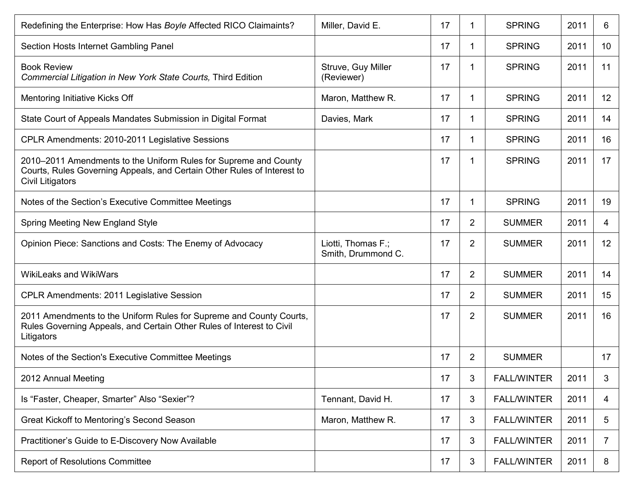| Redefining the Enterprise: How Has Boyle Affected RICO Claimaints?                                                                                              | Miller, David E.                         | 17 | 1              | <b>SPRING</b>      | 2011 | 6               |
|-----------------------------------------------------------------------------------------------------------------------------------------------------------------|------------------------------------------|----|----------------|--------------------|------|-----------------|
| Section Hosts Internet Gambling Panel                                                                                                                           |                                          | 17 | 1              | <b>SPRING</b>      | 2011 | 10 <sup>°</sup> |
| <b>Book Review</b><br>Commercial Litigation in New York State Courts, Third Edition                                                                             | Struve, Guy Miller<br>(Reviewer)         | 17 | 1              | <b>SPRING</b>      | 2011 | 11              |
| Mentoring Initiative Kicks Off                                                                                                                                  | Maron, Matthew R.                        | 17 | 1              | <b>SPRING</b>      | 2011 | 12              |
| State Court of Appeals Mandates Submission in Digital Format                                                                                                    | Davies, Mark                             | 17 | 1              | <b>SPRING</b>      | 2011 | 14              |
| CPLR Amendments: 2010-2011 Legislative Sessions                                                                                                                 |                                          | 17 | 1              | <b>SPRING</b>      | 2011 | 16              |
| 2010–2011 Amendments to the Uniform Rules for Supreme and County<br>Courts, Rules Governing Appeals, and Certain Other Rules of Interest to<br>Civil Litigators |                                          | 17 | 1              | <b>SPRING</b>      | 2011 | 17              |
| Notes of the Section's Executive Committee Meetings                                                                                                             |                                          | 17 | 1              | <b>SPRING</b>      | 2011 | 19              |
| Spring Meeting New England Style                                                                                                                                |                                          | 17 | $\overline{2}$ | <b>SUMMER</b>      | 2011 | 4               |
| Opinion Piece: Sanctions and Costs: The Enemy of Advocacy                                                                                                       | Liotti, Thomas F.;<br>Smith, Drummond C. | 17 | 2              | <b>SUMMER</b>      | 2011 | 12              |
| <b>WikiLeaks and WikiWars</b>                                                                                                                                   |                                          | 17 | $\overline{2}$ | <b>SUMMER</b>      | 2011 | 14              |
| <b>CPLR Amendments: 2011 Legislative Session</b>                                                                                                                |                                          | 17 | $\overline{2}$ | <b>SUMMER</b>      | 2011 | 15              |
| 2011 Amendments to the Uniform Rules for Supreme and County Courts,<br>Rules Governing Appeals, and Certain Other Rules of Interest to Civil<br>Litigators      |                                          | 17 | $\overline{2}$ | <b>SUMMER</b>      | 2011 | 16              |
| Notes of the Section's Executive Committee Meetings                                                                                                             |                                          | 17 | 2              | <b>SUMMER</b>      |      | 17              |
| 2012 Annual Meeting                                                                                                                                             |                                          | 17 | 3              | <b>FALL/WINTER</b> | 2011 | 3               |
| Is "Faster, Cheaper, Smarter" Also "Sexier"?                                                                                                                    | Tennant, David H.                        | 17 | 3              | <b>FALL/WINTER</b> | 2011 | 4               |
| Great Kickoff to Mentoring's Second Season                                                                                                                      | Maron, Matthew R.                        | 17 | 3              | <b>FALL/WINTER</b> | 2011 | 5               |
| Practitioner's Guide to E-Discovery Now Available                                                                                                               |                                          | 17 | 3              | <b>FALL/WINTER</b> | 2011 | 7               |
| <b>Report of Resolutions Committee</b>                                                                                                                          |                                          | 17 | 3              | <b>FALL/WINTER</b> | 2011 | 8               |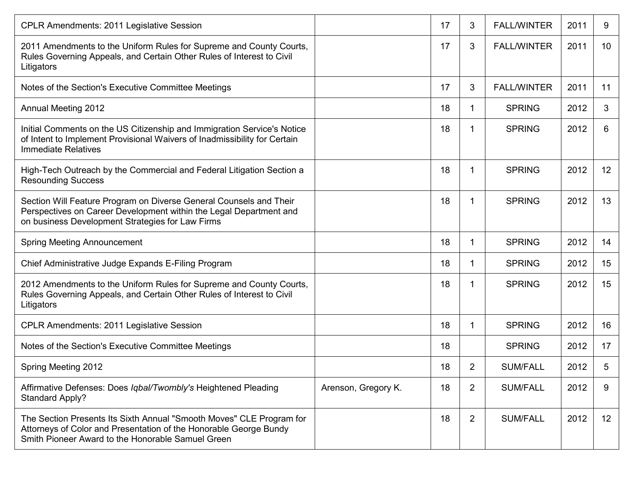| <b>CPLR Amendments: 2011 Legislative Session</b>                                                                                                                                               |                     | 17 | 3              | <b>FALL/WINTER</b> | 2011 | 9  |
|------------------------------------------------------------------------------------------------------------------------------------------------------------------------------------------------|---------------------|----|----------------|--------------------|------|----|
| 2011 Amendments to the Uniform Rules for Supreme and County Courts,<br>Rules Governing Appeals, and Certain Other Rules of Interest to Civil<br>Litigators                                     |                     | 17 | 3              | <b>FALL/WINTER</b> | 2011 | 10 |
| Notes of the Section's Executive Committee Meetings                                                                                                                                            |                     | 17 | 3              | <b>FALL/WINTER</b> | 2011 | 11 |
| <b>Annual Meeting 2012</b>                                                                                                                                                                     |                     | 18 | 1              | <b>SPRING</b>      | 2012 | 3  |
| Initial Comments on the US Citizenship and Immigration Service's Notice<br>of Intent to Implement Provisional Waivers of Inadmissibility for Certain<br>Immediate Relatives                    |                     | 18 | 1              | <b>SPRING</b>      | 2012 | 6  |
| High-Tech Outreach by the Commercial and Federal Litigation Section a<br><b>Resounding Success</b>                                                                                             |                     | 18 |                | <b>SPRING</b>      | 2012 | 12 |
| Section Will Feature Program on Diverse General Counsels and Their<br>Perspectives on Career Development within the Legal Department and<br>on business Development Strategies for Law Firms   |                     | 18 | 1              | <b>SPRING</b>      | 2012 | 13 |
| <b>Spring Meeting Announcement</b>                                                                                                                                                             |                     | 18 | -1             | <b>SPRING</b>      | 2012 | 14 |
| Chief Administrative Judge Expands E-Filing Program                                                                                                                                            |                     | 18 | 1              | <b>SPRING</b>      | 2012 | 15 |
| 2012 Amendments to the Uniform Rules for Supreme and County Courts,<br>Rules Governing Appeals, and Certain Other Rules of Interest to Civil<br>Litigators                                     |                     | 18 | 1              | <b>SPRING</b>      | 2012 | 15 |
| <b>CPLR Amendments: 2011 Legislative Session</b>                                                                                                                                               |                     | 18 | 1              | <b>SPRING</b>      | 2012 | 16 |
| Notes of the Section's Executive Committee Meetings                                                                                                                                            |                     | 18 |                | <b>SPRING</b>      | 2012 | 17 |
| Spring Meeting 2012                                                                                                                                                                            |                     | 18 | $\overline{2}$ | <b>SUM/FALL</b>    | 2012 | 5  |
| Affirmative Defenses: Does Iqbal/Twombly's Heightened Pleading<br><b>Standard Apply?</b>                                                                                                       | Arenson, Gregory K. | 18 | $\overline{2}$ | <b>SUM/FALL</b>    | 2012 | 9  |
| The Section Presents Its Sixth Annual "Smooth Moves" CLE Program for<br>Attorneys of Color and Presentation of the Honorable George Bundy<br>Smith Pioneer Award to the Honorable Samuel Green |                     | 18 | $\overline{2}$ | <b>SUM/FALL</b>    | 2012 | 12 |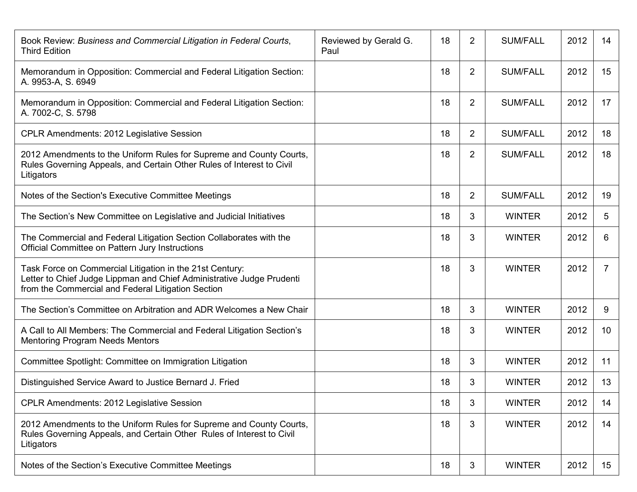| Book Review: Business and Commercial Litigation in Federal Courts,<br><b>Third Edition</b>                                                                                              | Reviewed by Gerald G.<br>Paul | 18 | $\overline{2}$ | <b>SUM/FALL</b> | 2012 | 14             |
|-----------------------------------------------------------------------------------------------------------------------------------------------------------------------------------------|-------------------------------|----|----------------|-----------------|------|----------------|
| Memorandum in Opposition: Commercial and Federal Litigation Section:<br>A. 9953-A, S. 6949                                                                                              |                               | 18 | $\overline{2}$ | <b>SUM/FALL</b> | 2012 | 15             |
| Memorandum in Opposition: Commercial and Federal Litigation Section:<br>A. 7002-C, S. 5798                                                                                              |                               | 18 | $\overline{2}$ | <b>SUM/FALL</b> | 2012 | 17             |
| <b>CPLR Amendments: 2012 Legislative Session</b>                                                                                                                                        |                               | 18 | $\overline{2}$ | <b>SUM/FALL</b> | 2012 | 18             |
| 2012 Amendments to the Uniform Rules for Supreme and County Courts,<br>Rules Governing Appeals, and Certain Other Rules of Interest to Civil<br>Litigators                              |                               | 18 | $\overline{2}$ | <b>SUM/FALL</b> | 2012 | 18             |
| Notes of the Section's Executive Committee Meetings                                                                                                                                     |                               | 18 | $\overline{2}$ | <b>SUM/FALL</b> | 2012 | 19             |
| The Section's New Committee on Legislative and Judicial Initiatives                                                                                                                     |                               | 18 | 3              | <b>WINTER</b>   | 2012 | 5              |
| The Commercial and Federal Litigation Section Collaborates with the<br>Official Committee on Pattern Jury Instructions                                                                  |                               | 18 | 3              | <b>WINTER</b>   | 2012 | 6              |
| Task Force on Commercial Litigation in the 21st Century:<br>Letter to Chief Judge Lippman and Chief Administrative Judge Prudenti<br>from the Commercial and Federal Litigation Section |                               | 18 | 3              | <b>WINTER</b>   | 2012 | $\overline{7}$ |
| The Section's Committee on Arbitration and ADR Welcomes a New Chair                                                                                                                     |                               | 18 | 3              | <b>WINTER</b>   | 2012 | 9              |
| A Call to All Members: The Commercial and Federal Litigation Section's<br><b>Mentoring Program Needs Mentors</b>                                                                        |                               | 18 | 3              | <b>WINTER</b>   | 2012 | 10             |
| Committee Spotlight: Committee on Immigration Litigation                                                                                                                                |                               | 18 | 3              | <b>WINTER</b>   | 2012 | 11             |
| Distinguished Service Award to Justice Bernard J. Fried                                                                                                                                 |                               | 18 | 3              | <b>WINTER</b>   | 2012 | 13             |
| CPLR Amendments: 2012 Legislative Session                                                                                                                                               |                               | 18 | 3              | <b>WINTER</b>   | 2012 | 14             |
| 2012 Amendments to the Uniform Rules for Supreme and County Courts,<br>Rules Governing Appeals, and Certain Other Rules of Interest to Civil<br>Litigators                              |                               | 18 | 3              | <b>WINTER</b>   | 2012 | 14             |
| Notes of the Section's Executive Committee Meetings                                                                                                                                     |                               | 18 | 3              | <b>WINTER</b>   | 2012 | 15             |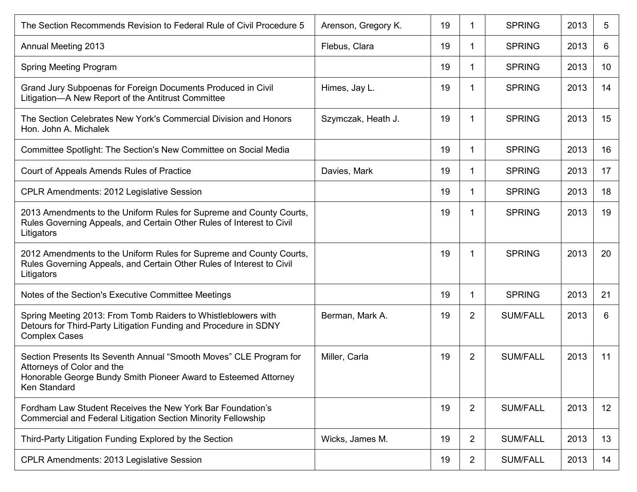| The Section Recommends Revision to Federal Rule of Civil Procedure 5                                                                                                                | Arenson, Gregory K. | 19 | 1              | <b>SPRING</b>   | 2013 | 5  |
|-------------------------------------------------------------------------------------------------------------------------------------------------------------------------------------|---------------------|----|----------------|-----------------|------|----|
| <b>Annual Meeting 2013</b>                                                                                                                                                          | Flebus, Clara       | 19 | 1              | <b>SPRING</b>   | 2013 | 6  |
| Spring Meeting Program                                                                                                                                                              |                     | 19 | 1              | <b>SPRING</b>   | 2013 | 10 |
| Grand Jury Subpoenas for Foreign Documents Produced in Civil<br>Litigation-A New Report of the Antitrust Committee                                                                  | Himes, Jay L.       | 19 | 1              | <b>SPRING</b>   | 2013 | 14 |
| The Section Celebrates New York's Commercial Division and Honors<br>Hon. John A. Michalek                                                                                           | Szymczak, Heath J.  | 19 | 1              | <b>SPRING</b>   | 2013 | 15 |
| Committee Spotlight: The Section's New Committee on Social Media                                                                                                                    |                     | 19 | 1              | <b>SPRING</b>   | 2013 | 16 |
| Court of Appeals Amends Rules of Practice                                                                                                                                           | Davies, Mark        | 19 | 1              | <b>SPRING</b>   | 2013 | 17 |
| <b>CPLR Amendments: 2012 Legislative Session</b>                                                                                                                                    |                     | 19 | 1              | <b>SPRING</b>   | 2013 | 18 |
| 2013 Amendments to the Uniform Rules for Supreme and County Courts,<br>Rules Governing Appeals, and Certain Other Rules of Interest to Civil<br>Litigators                          |                     | 19 | 1              | <b>SPRING</b>   | 2013 | 19 |
| 2012 Amendments to the Uniform Rules for Supreme and County Courts,<br>Rules Governing Appeals, and Certain Other Rules of Interest to Civil<br>Litigators                          |                     | 19 | 1              | <b>SPRING</b>   | 2013 | 20 |
| Notes of the Section's Executive Committee Meetings                                                                                                                                 |                     | 19 | 1              | <b>SPRING</b>   | 2013 | 21 |
| Spring Meeting 2013: From Tomb Raiders to Whistleblowers with<br>Detours for Third-Party Litigation Funding and Procedure in SDNY<br><b>Complex Cases</b>                           | Berman, Mark A.     | 19 | 2              | <b>SUM/FALL</b> | 2013 | 6  |
| Section Presents Its Seventh Annual "Smooth Moves" CLE Program for<br>Attorneys of Color and the<br>Honorable George Bundy Smith Pioneer Award to Esteemed Attorney<br>Ken Standard | Miller, Carla       | 19 | $\overline{2}$ | <b>SUM/FALL</b> | 2013 | 11 |
| Fordham Law Student Receives the New York Bar Foundation's<br>Commercial and Federal Litigation Section Minority Fellowship                                                         |                     | 19 | 2              | <b>SUM/FALL</b> | 2013 | 12 |
| Third-Party Litigation Funding Explored by the Section                                                                                                                              | Wicks, James M.     | 19 | 2              | <b>SUM/FALL</b> | 2013 | 13 |
| CPLR Amendments: 2013 Legislative Session                                                                                                                                           |                     | 19 | 2              | <b>SUM/FALL</b> | 2013 | 14 |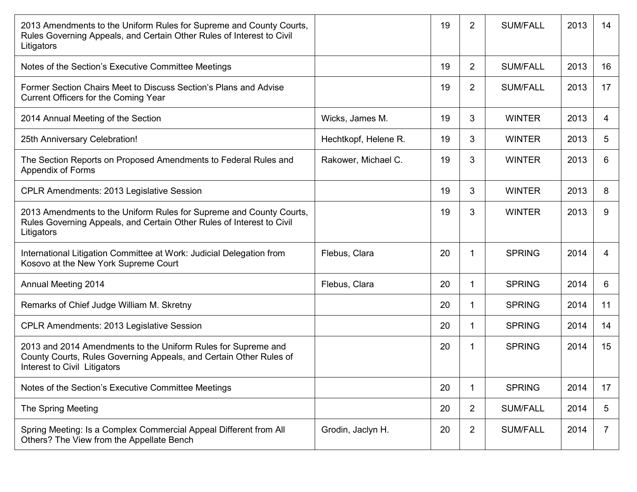| 2013 Amendments to the Uniform Rules for Supreme and County Courts,<br>Rules Governing Appeals, and Certain Other Rules of Interest to Civil<br>Litigators          |                      | 19 | $\overline{2}$ | <b>SUM/FALL</b> | 2013 | 14             |
|---------------------------------------------------------------------------------------------------------------------------------------------------------------------|----------------------|----|----------------|-----------------|------|----------------|
| Notes of the Section's Executive Committee Meetings                                                                                                                 |                      | 19 | $\overline{2}$ | <b>SUM/FALL</b> | 2013 | 16             |
| Former Section Chairs Meet to Discuss Section's Plans and Advise<br>Current Officers for the Coming Year                                                            |                      | 19 | $\overline{2}$ | <b>SUM/FALL</b> | 2013 | 17             |
| 2014 Annual Meeting of the Section                                                                                                                                  | Wicks, James M.      | 19 | 3              | <b>WINTER</b>   | 2013 | 4              |
| 25th Anniversary Celebration!                                                                                                                                       | Hechtkopf, Helene R. | 19 | 3              | <b>WINTER</b>   | 2013 | 5              |
| The Section Reports on Proposed Amendments to Federal Rules and<br>Appendix of Forms                                                                                | Rakower, Michael C.  | 19 | 3              | <b>WINTER</b>   | 2013 | 6              |
| <b>CPLR Amendments: 2013 Legislative Session</b>                                                                                                                    |                      | 19 | 3              | <b>WINTER</b>   | 2013 | 8              |
| 2013 Amendments to the Uniform Rules for Supreme and County Courts,<br>Rules Governing Appeals, and Certain Other Rules of Interest to Civil<br>Litigators          |                      | 19 | 3              | <b>WINTER</b>   | 2013 | 9              |
| International Litigation Committee at Work: Judicial Delegation from<br>Kosovo at the New York Supreme Court                                                        | Flebus, Clara        | 20 | 1              | <b>SPRING</b>   | 2014 | 4              |
| <b>Annual Meeting 2014</b>                                                                                                                                          | Flebus, Clara        | 20 | 1              | <b>SPRING</b>   | 2014 | 6              |
| Remarks of Chief Judge William M. Skretny                                                                                                                           |                      | 20 | 1              | <b>SPRING</b>   | 2014 | 11             |
| <b>CPLR Amendments: 2013 Legislative Session</b>                                                                                                                    |                      | 20 | 1              | <b>SPRING</b>   | 2014 | 14             |
| 2013 and 2014 Amendments to the Uniform Rules for Supreme and<br>County Courts, Rules Governing Appeals, and Certain Other Rules of<br>Interest to Civil Litigators |                      | 20 | 1              | <b>SPRING</b>   | 2014 | 15             |
| Notes of the Section's Executive Committee Meetings                                                                                                                 |                      | 20 | 1              | <b>SPRING</b>   | 2014 | 17             |
| The Spring Meeting                                                                                                                                                  |                      | 20 | $\overline{2}$ | <b>SUM/FALL</b> | 2014 | 5              |
| Spring Meeting: Is a Complex Commercial Appeal Different from All<br>Others? The View from the Appellate Bench                                                      | Grodin, Jaclyn H.    | 20 | $\overline{2}$ | <b>SUM/FALL</b> | 2014 | $\overline{7}$ |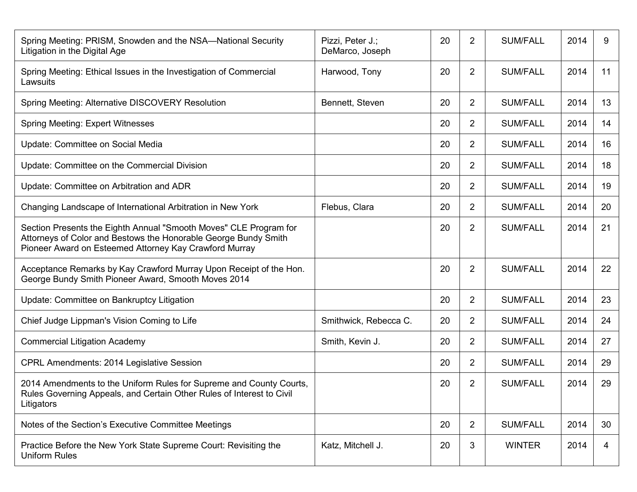| Spring Meeting: PRISM, Snowden and the NSA—National Security<br>Litigation in the Digital Age                                                                                                  | Pizzi, Peter J.;<br>DeMarco, Joseph | 20 | $\overline{2}$ | <b>SUM/FALL</b> | 2014 | 9  |
|------------------------------------------------------------------------------------------------------------------------------------------------------------------------------------------------|-------------------------------------|----|----------------|-----------------|------|----|
| Spring Meeting: Ethical Issues in the Investigation of Commercial<br>Lawsuits                                                                                                                  | Harwood, Tony                       | 20 | $\overline{2}$ | <b>SUM/FALL</b> | 2014 | 11 |
| Spring Meeting: Alternative DISCOVERY Resolution                                                                                                                                               | Bennett, Steven                     | 20 | $\overline{2}$ | <b>SUM/FALL</b> | 2014 | 13 |
| <b>Spring Meeting: Expert Witnesses</b>                                                                                                                                                        |                                     | 20 | $\overline{2}$ | <b>SUM/FALL</b> | 2014 | 14 |
| Update: Committee on Social Media                                                                                                                                                              |                                     | 20 | $\overline{2}$ | <b>SUM/FALL</b> | 2014 | 16 |
| Update: Committee on the Commercial Division                                                                                                                                                   |                                     | 20 | $\overline{2}$ | <b>SUM/FALL</b> | 2014 | 18 |
| Update: Committee on Arbitration and ADR                                                                                                                                                       |                                     | 20 | $\overline{2}$ | <b>SUM/FALL</b> | 2014 | 19 |
| Changing Landscape of International Arbitration in New York                                                                                                                                    | Flebus, Clara                       | 20 | $\overline{2}$ | <b>SUM/FALL</b> | 2014 | 20 |
| Section Presents the Eighth Annual "Smooth Moves" CLE Program for<br>Attorneys of Color and Bestows the Honorable George Bundy Smith<br>Pioneer Award on Esteemed Attorney Kay Crawford Murray |                                     | 20 | 2              | <b>SUM/FALL</b> | 2014 | 21 |
| Acceptance Remarks by Kay Crawford Murray Upon Receipt of the Hon.<br>George Bundy Smith Pioneer Award, Smooth Moves 2014                                                                      |                                     | 20 | $\overline{2}$ | <b>SUM/FALL</b> | 2014 | 22 |
| Update: Committee on Bankruptcy Litigation                                                                                                                                                     |                                     | 20 | $\overline{2}$ | <b>SUM/FALL</b> | 2014 | 23 |
| Chief Judge Lippman's Vision Coming to Life                                                                                                                                                    | Smithwick, Rebecca C.               | 20 | $\overline{2}$ | <b>SUM/FALL</b> | 2014 | 24 |
| <b>Commercial Litigation Academy</b>                                                                                                                                                           | Smith, Kevin J.                     | 20 | $\overline{2}$ | <b>SUM/FALL</b> | 2014 | 27 |
| <b>CPRL Amendments: 2014 Legislative Session</b>                                                                                                                                               |                                     | 20 | $\overline{2}$ | <b>SUM/FALL</b> | 2014 | 29 |
| 2014 Amendments to the Uniform Rules for Supreme and County Courts,<br>Rules Governing Appeals, and Certain Other Rules of Interest to Civil<br>Litigators                                     |                                     | 20 | $\overline{2}$ | <b>SUM/FALL</b> | 2014 | 29 |
| Notes of the Section's Executive Committee Meetings                                                                                                                                            |                                     | 20 | $\overline{2}$ | <b>SUM/FALL</b> | 2014 | 30 |
| Practice Before the New York State Supreme Court: Revisiting the<br><b>Uniform Rules</b>                                                                                                       | Katz, Mitchell J.                   | 20 | 3              | <b>WINTER</b>   | 2014 | 4  |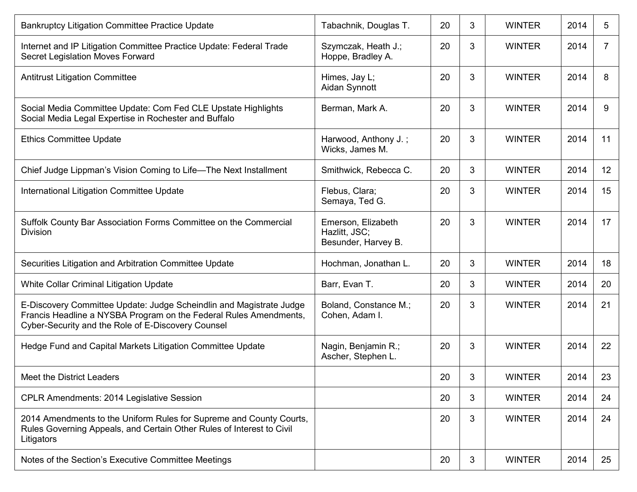| <b>Bankruptcy Litigation Committee Practice Update</b>                                                                                                                                         | Tabachnik, Douglas T.                                      | 20 | 3 | <b>WINTER</b> | 2014 | 5              |
|------------------------------------------------------------------------------------------------------------------------------------------------------------------------------------------------|------------------------------------------------------------|----|---|---------------|------|----------------|
| Internet and IP Litigation Committee Practice Update: Federal Trade<br>Secret Legislation Moves Forward                                                                                        | Szymczak, Heath J.;<br>Hoppe, Bradley A.                   | 20 | 3 | <b>WINTER</b> | 2014 | $\overline{7}$ |
| <b>Antitrust Litigation Committee</b>                                                                                                                                                          | Himes, Jay L;<br>Aidan Synnott                             | 20 | 3 | <b>WINTER</b> | 2014 | 8              |
| Social Media Committee Update: Com Fed CLE Upstate Highlights<br>Social Media Legal Expertise in Rochester and Buffalo                                                                         | Berman, Mark A.                                            | 20 | 3 | <b>WINTER</b> | 2014 | 9              |
| <b>Ethics Committee Update</b>                                                                                                                                                                 | Harwood, Anthony J.;<br>Wicks, James M.                    | 20 | 3 | <b>WINTER</b> | 2014 | 11             |
| Chief Judge Lippman's Vision Coming to Life-The Next Installment                                                                                                                               | Smithwick, Rebecca C.                                      | 20 | 3 | <b>WINTER</b> | 2014 | 12             |
| International Litigation Committee Update                                                                                                                                                      | Flebus, Clara;<br>Semaya, Ted G.                           | 20 | 3 | <b>WINTER</b> | 2014 | 15             |
| Suffolk County Bar Association Forms Committee on the Commercial<br><b>Division</b>                                                                                                            | Emerson, Elizabeth<br>Hazlitt, JSC;<br>Besunder, Harvey B. | 20 | 3 | <b>WINTER</b> | 2014 | 17             |
| Securities Litigation and Arbitration Committee Update                                                                                                                                         | Hochman, Jonathan L.                                       | 20 | 3 | <b>WINTER</b> | 2014 | 18             |
| White Collar Criminal Litigation Update                                                                                                                                                        | Barr, Evan T.                                              | 20 | 3 | <b>WINTER</b> | 2014 | 20             |
| E-Discovery Committee Update: Judge Scheindlin and Magistrate Judge<br>Francis Headline a NYSBA Program on the Federal Rules Amendments,<br>Cyber-Security and the Role of E-Discovery Counsel | Boland, Constance M.;<br>Cohen, Adam I.                    | 20 | 3 | <b>WINTER</b> | 2014 | 21             |
| Hedge Fund and Capital Markets Litigation Committee Update                                                                                                                                     | Nagin, Benjamin R.;<br>Ascher, Stephen L.                  | 20 | 3 | <b>WINTER</b> | 2014 | 22             |
| Meet the District Leaders                                                                                                                                                                      |                                                            | 20 | 3 | <b>WINTER</b> | 2014 | 23             |
| <b>CPLR Amendments: 2014 Legislative Session</b>                                                                                                                                               |                                                            | 20 | 3 | <b>WINTER</b> | 2014 | 24             |
| 2014 Amendments to the Uniform Rules for Supreme and County Courts,<br>Rules Governing Appeals, and Certain Other Rules of Interest to Civil<br>Litigators                                     |                                                            | 20 | 3 | <b>WINTER</b> | 2014 | 24             |
| Notes of the Section's Executive Committee Meetings                                                                                                                                            |                                                            | 20 | 3 | <b>WINTER</b> | 2014 | 25             |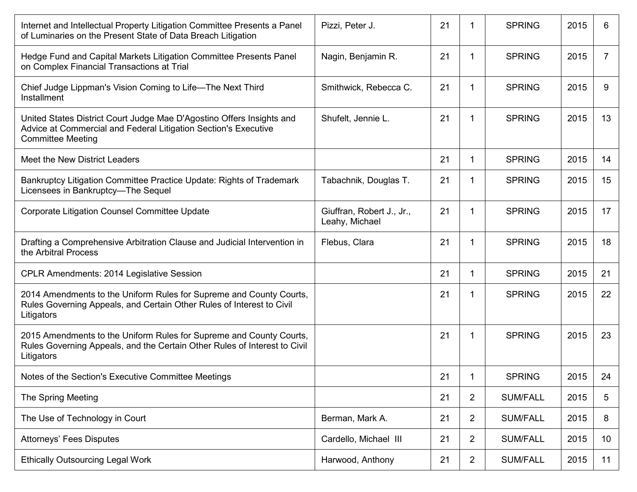| Internet and Intellectual Property Litigation Committee Presents a Panel<br>of Luminaries on the Present State of Data Breach Litigation                             | Pizzi, Peter J.                             | 21 | 1              | <b>SPRING</b>   | 2015 | 6               |
|----------------------------------------------------------------------------------------------------------------------------------------------------------------------|---------------------------------------------|----|----------------|-----------------|------|-----------------|
| Hedge Fund and Capital Markets Litigation Committee Presents Panel<br>on Complex Financial Transactions at Trial                                                     | Nagin, Benjamin R.                          | 21 | 1              | <b>SPRING</b>   | 2015 | 7               |
| Chief Judge Lippman's Vision Coming to Life-The Next Third<br>Installment                                                                                            | Smithwick, Rebecca C.                       | 21 | 1              | <b>SPRING</b>   | 2015 | 9               |
| United States District Court Judge Mae D'Agostino Offers Insights and<br>Advice at Commercial and Federal Litigation Section's Executive<br><b>Committee Meeting</b> | Shufelt, Jennie L.                          | 21 | -1             | <b>SPRING</b>   | 2015 | 13              |
| Meet the New District Leaders                                                                                                                                        |                                             | 21 | 1              | <b>SPRING</b>   | 2015 | 14              |
| Bankruptcy Litigation Committee Practice Update: Rights of Trademark<br>Licensees in Bankruptcy-The Sequel                                                           | Tabachnik, Douglas T.                       | 21 | 1              | <b>SPRING</b>   | 2015 | 15              |
| <b>Corporate Litigation Counsel Committee Update</b>                                                                                                                 | Giuffran, Robert J., Jr.,<br>Leahy, Michael | 21 | 1              | <b>SPRING</b>   | 2015 | 17              |
| Drafting a Comprehensive Arbitration Clause and Judicial Intervention in<br>the Arbitral Process                                                                     | Flebus, Clara                               | 21 | 1              | <b>SPRING</b>   | 2015 | 18              |
| <b>CPLR Amendments: 2014 Legislative Session</b>                                                                                                                     |                                             | 21 | 1              | <b>SPRING</b>   | 2015 | 21              |
| 2014 Amendments to the Uniform Rules for Supreme and County Courts,<br>Rules Governing Appeals, and Certain Other Rules of Interest to Civil<br>Litigators           |                                             | 21 | -1             | <b>SPRING</b>   | 2015 | 22              |
| 2015 Amendments to the Uniform Rules for Supreme and County Courts,<br>Rules Governing Appeals, and the Certain Other Rules of Interest to Civil<br>Litigators       |                                             | 21 | -1             | <b>SPRING</b>   | 2015 | 23              |
| Notes of the Section's Executive Committee Meetings                                                                                                                  |                                             | 21 | 1              | <b>SPRING</b>   | 2015 | 24              |
| The Spring Meeting                                                                                                                                                   |                                             | 21 | $\overline{2}$ | <b>SUM/FALL</b> | 2015 | 5               |
| The Use of Technology in Court                                                                                                                                       | Berman, Mark A.                             | 21 | $\overline{2}$ | <b>SUM/FALL</b> | 2015 | 8               |
| <b>Attorneys' Fees Disputes</b>                                                                                                                                      | Cardello, Michael III                       | 21 | $\overline{2}$ | <b>SUM/FALL</b> | 2015 | 10 <sup>°</sup> |
| <b>Ethically Outsourcing Legal Work</b>                                                                                                                              | Harwood, Anthony                            | 21 | $\overline{2}$ | <b>SUM/FALL</b> | 2015 | 11              |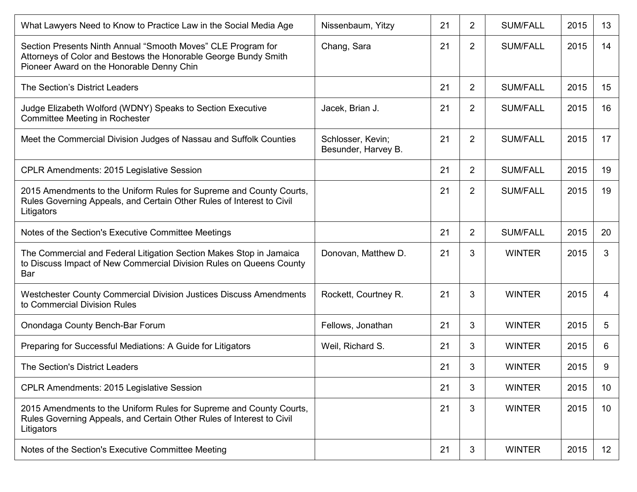| What Lawyers Need to Know to Practice Law in the Social Media Age                                                                                                            | Nissenbaum, Yitzy                        | 21 | $\overline{2}$ | <b>SUM/FALL</b> | 2015 | 13              |
|------------------------------------------------------------------------------------------------------------------------------------------------------------------------------|------------------------------------------|----|----------------|-----------------|------|-----------------|
| Section Presents Ninth Annual "Smooth Moves" CLE Program for<br>Attorneys of Color and Bestows the Honorable George Bundy Smith<br>Pioneer Award on the Honorable Denny Chin | Chang, Sara                              | 21 | $\overline{2}$ | <b>SUM/FALL</b> | 2015 | 14              |
| The Section's District Leaders                                                                                                                                               |                                          | 21 | $\overline{2}$ | <b>SUM/FALL</b> | 2015 | 15              |
| Judge Elizabeth Wolford (WDNY) Speaks to Section Executive<br>Committee Meeting in Rochester                                                                                 | Jacek, Brian J.                          | 21 | $\overline{2}$ | <b>SUM/FALL</b> | 2015 | 16              |
| Meet the Commercial Division Judges of Nassau and Suffolk Counties                                                                                                           | Schlosser, Kevin;<br>Besunder, Harvey B. | 21 | $\overline{2}$ | <b>SUM/FALL</b> | 2015 | 17              |
| <b>CPLR Amendments: 2015 Legislative Session</b>                                                                                                                             |                                          | 21 | $\overline{2}$ | <b>SUM/FALL</b> | 2015 | 19              |
| 2015 Amendments to the Uniform Rules for Supreme and County Courts,<br>Rules Governing Appeals, and Certain Other Rules of Interest to Civil<br>Litigators                   |                                          | 21 | $\overline{2}$ | <b>SUM/FALL</b> | 2015 | 19              |
| Notes of the Section's Executive Committee Meetings                                                                                                                          |                                          | 21 | $\overline{2}$ | <b>SUM/FALL</b> | 2015 | 20              |
| The Commercial and Federal Litigation Section Makes Stop in Jamaica<br>to Discuss Impact of New Commercial Division Rules on Queens County<br>Bar                            | Donovan, Matthew D.                      | 21 | 3              | <b>WINTER</b>   | 2015 | 3               |
| Westchester County Commercial Division Justices Discuss Amendments<br>to Commercial Division Rules                                                                           | Rockett, Courtney R.                     | 21 | 3              | <b>WINTER</b>   | 2015 | 4               |
| Onondaga County Bench-Bar Forum                                                                                                                                              | Fellows, Jonathan                        | 21 | 3              | <b>WINTER</b>   | 2015 | 5               |
| Preparing for Successful Mediations: A Guide for Litigators                                                                                                                  | Weil, Richard S.                         | 21 | 3              | <b>WINTER</b>   | 2015 | 6               |
| The Section's District Leaders                                                                                                                                               |                                          | 21 | 3              | <b>WINTER</b>   | 2015 | 9               |
| <b>CPLR Amendments: 2015 Legislative Session</b>                                                                                                                             |                                          | 21 | 3              | <b>WINTER</b>   | 2015 | 10 <sup>°</sup> |
| 2015 Amendments to the Uniform Rules for Supreme and County Courts,<br>Rules Governing Appeals, and Certain Other Rules of Interest to Civil<br>Litigators                   |                                          | 21 | 3              | <b>WINTER</b>   | 2015 | 10 <sup>°</sup> |
| Notes of the Section's Executive Committee Meeting                                                                                                                           |                                          | 21 | 3              | <b>WINTER</b>   | 2015 | 12 <sup>°</sup> |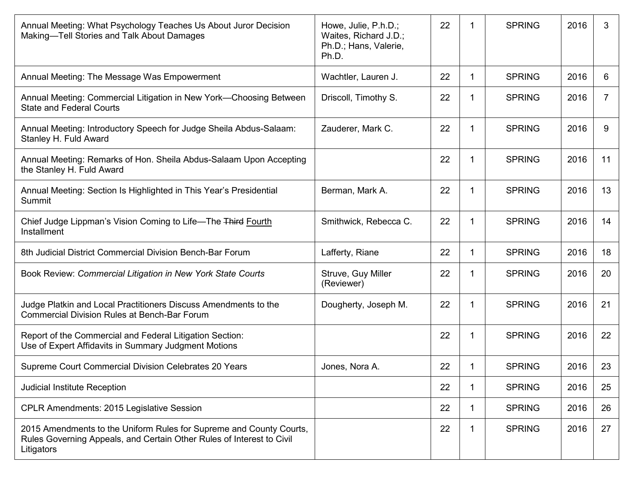| Annual Meeting: What Psychology Teaches Us About Juror Decision<br>Making-Tell Stories and Talk About Damages                                              | Howe, Julie, P.h.D.;<br>Waites, Richard J.D.;<br>Ph.D.; Hans, Valerie,<br>Ph.D. | 22 |    | <b>SPRING</b> | 2016 | 3              |
|------------------------------------------------------------------------------------------------------------------------------------------------------------|---------------------------------------------------------------------------------|----|----|---------------|------|----------------|
| Annual Meeting: The Message Was Empowerment                                                                                                                | Wachtler, Lauren J.                                                             | 22 | -1 | <b>SPRING</b> | 2016 | 6              |
| Annual Meeting: Commercial Litigation in New York-Choosing Between<br><b>State and Federal Courts</b>                                                      | Driscoll, Timothy S.                                                            | 22 | 1  | <b>SPRING</b> | 2016 | $\overline{7}$ |
| Annual Meeting: Introductory Speech for Judge Sheila Abdus-Salaam:<br>Stanley H. Fuld Award                                                                | Zauderer, Mark C.                                                               | 22 | 1  | <b>SPRING</b> | 2016 | 9              |
| Annual Meeting: Remarks of Hon. Sheila Abdus-Salaam Upon Accepting<br>the Stanley H. Fuld Award                                                            |                                                                                 | 22 | -1 | <b>SPRING</b> | 2016 | 11             |
| Annual Meeting: Section Is Highlighted in This Year's Presidential<br>Summit                                                                               | Berman, Mark A.                                                                 | 22 |    | <b>SPRING</b> | 2016 | 13             |
| Chief Judge Lippman's Vision Coming to Life-The Third Fourth<br>Installment                                                                                | Smithwick, Rebecca C.                                                           | 22 | -1 | <b>SPRING</b> | 2016 | 14             |
| 8th Judicial District Commercial Division Bench-Bar Forum                                                                                                  | Lafferty, Riane                                                                 | 22 | -1 | <b>SPRING</b> | 2016 | 18             |
| Book Review: Commercial Litigation in New York State Courts                                                                                                | Struve, Guy Miller<br>(Reviewer)                                                | 22 | 1  | <b>SPRING</b> | 2016 | 20             |
| Judge Platkin and Local Practitioners Discuss Amendments to the<br><b>Commercial Division Rules at Bench-Bar Forum</b>                                     | Dougherty, Joseph M.                                                            | 22 | 1  | <b>SPRING</b> | 2016 | 21             |
| Report of the Commercial and Federal Litigation Section:<br>Use of Expert Affidavits in Summary Judgment Motions                                           |                                                                                 | 22 | -1 | <b>SPRING</b> | 2016 | 22             |
| Supreme Court Commercial Division Celebrates 20 Years                                                                                                      | Jones, Nora A.                                                                  | 22 | -1 | <b>SPRING</b> | 2016 | 23             |
| Judicial Institute Reception                                                                                                                               |                                                                                 | 22 |    | <b>SPRING</b> | 2016 | 25             |
| CPLR Amendments: 2015 Legislative Session                                                                                                                  |                                                                                 | 22 | -1 | <b>SPRING</b> | 2016 | 26             |
| 2015 Amendments to the Uniform Rules for Supreme and County Courts,<br>Rules Governing Appeals, and Certain Other Rules of Interest to Civil<br>Litigators |                                                                                 | 22 | -1 | <b>SPRING</b> | 2016 | 27             |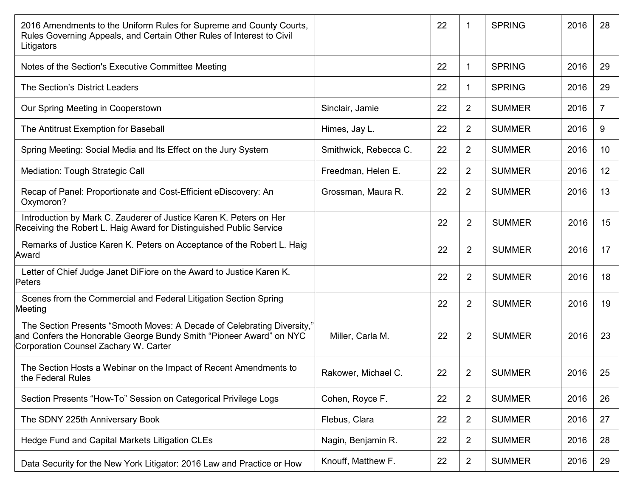| 2016 Amendments to the Uniform Rules for Supreme and County Courts,<br>Rules Governing Appeals, and Certain Other Rules of Interest to Civil<br>Litigators                              |                       | 22 | 1              | <b>SPRING</b> | 2016 | 28 |
|-----------------------------------------------------------------------------------------------------------------------------------------------------------------------------------------|-----------------------|----|----------------|---------------|------|----|
| Notes of the Section's Executive Committee Meeting                                                                                                                                      |                       | 22 | 1              | <b>SPRING</b> | 2016 | 29 |
| The Section's District Leaders                                                                                                                                                          |                       | 22 | 1.             | <b>SPRING</b> | 2016 | 29 |
| Our Spring Meeting in Cooperstown                                                                                                                                                       | Sinclair, Jamie       | 22 | $\overline{2}$ | <b>SUMMER</b> | 2016 | 7  |
| The Antitrust Exemption for Baseball                                                                                                                                                    | Himes, Jay L.         | 22 | $\overline{2}$ | <b>SUMMER</b> | 2016 | 9  |
| Spring Meeting: Social Media and Its Effect on the Jury System                                                                                                                          | Smithwick, Rebecca C. | 22 | $\overline{2}$ | <b>SUMMER</b> | 2016 | 10 |
| Mediation: Tough Strategic Call                                                                                                                                                         | Freedman, Helen E.    | 22 | $\overline{2}$ | <b>SUMMER</b> | 2016 | 12 |
| Recap of Panel: Proportionate and Cost-Efficient eDiscovery: An<br>Oxymoron?                                                                                                            | Grossman, Maura R.    | 22 | $\overline{2}$ | <b>SUMMER</b> | 2016 | 13 |
| Introduction by Mark C. Zauderer of Justice Karen K. Peters on Her<br>Receiving the Robert L. Haig Award for Distinguished Public Service                                               |                       | 22 | $\overline{2}$ | <b>SUMMER</b> | 2016 | 15 |
| Remarks of Justice Karen K. Peters on Acceptance of the Robert L. Haig<br>Award                                                                                                         |                       | 22 | $\overline{2}$ | <b>SUMMER</b> | 2016 | 17 |
| Letter of Chief Judge Janet DiFiore on the Award to Justice Karen K.<br>Peters                                                                                                          |                       | 22 | $\overline{2}$ | <b>SUMMER</b> | 2016 | 18 |
| Scenes from the Commercial and Federal Litigation Section Spring<br>Meeting                                                                                                             |                       | 22 | $\overline{2}$ | <b>SUMMER</b> | 2016 | 19 |
| The Section Presents "Smooth Moves: A Decade of Celebrating Diversity,"<br>and Confers the Honorable George Bundy Smith "Pioneer Award" on NYC<br>Corporation Counsel Zachary W. Carter | Miller, Carla M.      | 22 | $\overline{2}$ | <b>SUMMER</b> | 2016 | 23 |
| The Section Hosts a Webinar on the Impact of Recent Amendments to<br>the Federal Rules                                                                                                  | Rakower, Michael C.   | 22 | $\overline{2}$ | <b>SUMMER</b> | 2016 | 25 |
| Section Presents "How-To" Session on Categorical Privilege Logs                                                                                                                         | Cohen, Royce F.       | 22 | $\overline{2}$ | <b>SUMMER</b> | 2016 | 26 |
| The SDNY 225th Anniversary Book                                                                                                                                                         | Flebus, Clara         | 22 | $\overline{2}$ | <b>SUMMER</b> | 2016 | 27 |
| Hedge Fund and Capital Markets Litigation CLEs                                                                                                                                          | Nagin, Benjamin R.    | 22 | $\overline{2}$ | <b>SUMMER</b> | 2016 | 28 |
| Data Security for the New York Litigator: 2016 Law and Practice or How                                                                                                                  | Knouff, Matthew F.    | 22 | $\overline{2}$ | <b>SUMMER</b> | 2016 | 29 |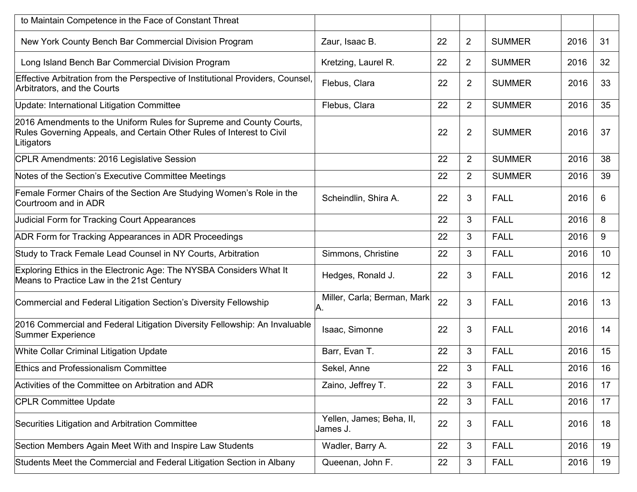| to Maintain Competence in the Face of Constant Threat                                                                                                      |                                      |    |                |               |      |    |
|------------------------------------------------------------------------------------------------------------------------------------------------------------|--------------------------------------|----|----------------|---------------|------|----|
| New York County Bench Bar Commercial Division Program                                                                                                      | Zaur, Isaac B.                       | 22 | $\overline{2}$ | <b>SUMMER</b> | 2016 | 31 |
| Long Island Bench Bar Commercial Division Program                                                                                                          | Kretzing, Laurel R.                  | 22 | $\overline{2}$ | <b>SUMMER</b> | 2016 | 32 |
| Effective Arbitration from the Perspective of Institutional Providers, Counsel,<br>Arbitrators, and the Courts                                             | Flebus, Clara                        | 22 | 2              | <b>SUMMER</b> | 2016 | 33 |
| Update: International Litigation Committee                                                                                                                 | Flebus, Clara                        | 22 | $\overline{2}$ | <b>SUMMER</b> | 2016 | 35 |
| 2016 Amendments to the Uniform Rules for Supreme and County Courts,<br>Rules Governing Appeals, and Certain Other Rules of Interest to Civil<br>Litigators |                                      | 22 | $\overline{2}$ | <b>SUMMER</b> | 2016 | 37 |
| CPLR Amendments: 2016 Legislative Session                                                                                                                  |                                      | 22 | 2              | <b>SUMMER</b> | 2016 | 38 |
| Notes of the Section's Executive Committee Meetings                                                                                                        |                                      | 22 | $\overline{2}$ | <b>SUMMER</b> | 2016 | 39 |
| Female Former Chairs of the Section Are Studying Women's Role in the<br>Courtroom and in ADR                                                               | Scheindlin, Shira A.                 | 22 | 3              | <b>FALL</b>   | 2016 | 6  |
| <b>Judicial Form for Tracking Court Appearances</b>                                                                                                        |                                      | 22 | 3              | <b>FALL</b>   | 2016 | 8  |
| ADR Form for Tracking Appearances in ADR Proceedings                                                                                                       |                                      | 22 | 3              | <b>FALL</b>   | 2016 | 9  |
| Study to Track Female Lead Counsel in NY Courts, Arbitration                                                                                               | Simmons, Christine                   | 22 | 3              | <b>FALL</b>   | 2016 | 10 |
| Exploring Ethics in the Electronic Age: The NYSBA Considers What It<br>Means to Practice Law in the 21st Century                                           | Hedges, Ronald J.                    | 22 | 3              | <b>FALL</b>   | 2016 | 12 |
| Commercial and Federal Litigation Section's Diversity Fellowship                                                                                           | Miller, Carla; Berman, Mark<br>А.    | 22 | 3              | <b>FALL</b>   | 2016 | 13 |
| 2016 Commercial and Federal Litigation Diversity Fellowship: An Invaluable<br>Summer Experience                                                            | Isaac, Simonne                       | 22 | 3              | <b>FALL</b>   | 2016 | 14 |
| <b>White Collar Criminal Litigation Update</b>                                                                                                             | Barr, Evan T.                        | 22 | 3              | <b>FALL</b>   | 2016 | 15 |
| <b>Ethics and Professionalism Committee</b>                                                                                                                | Sekel, Anne                          | 22 | 3              | <b>FALL</b>   | 2016 | 16 |
| Activities of the Committee on Arbitration and ADR                                                                                                         | Zaino, Jeffrey T.                    | 22 | 3              | <b>FALL</b>   | 2016 | 17 |
| <b>CPLR Committee Update</b>                                                                                                                               |                                      | 22 | 3              | <b>FALL</b>   | 2016 | 17 |
| Securities Litigation and Arbitration Committee                                                                                                            | Yellen, James; Beha, II,<br>James J. | 22 | 3              | <b>FALL</b>   | 2016 | 18 |
| Section Members Again Meet With and Inspire Law Students                                                                                                   | Wadler, Barry A.                     | 22 | 3              | <b>FALL</b>   | 2016 | 19 |
| Students Meet the Commercial and Federal Litigation Section in Albany                                                                                      | Queenan, John F.                     | 22 | 3              | <b>FALL</b>   | 2016 | 19 |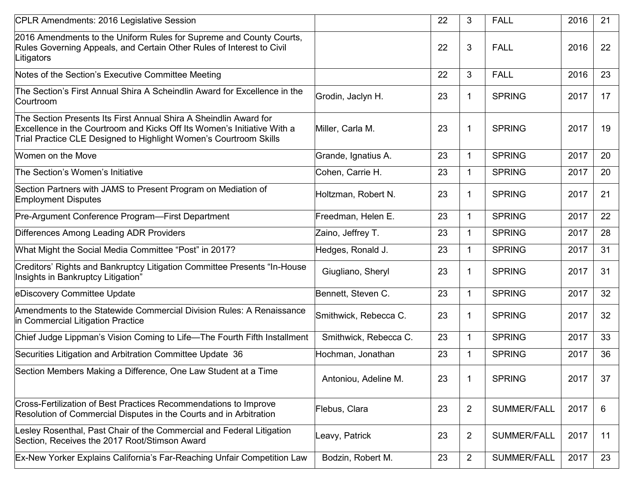| CPLR Amendments: 2016 Legislative Session                                                                                                                                                                         |                       | 22 | 3              | <b>FALL</b>   | 2016 | 21 |
|-------------------------------------------------------------------------------------------------------------------------------------------------------------------------------------------------------------------|-----------------------|----|----------------|---------------|------|----|
| 2016 Amendments to the Uniform Rules for Supreme and County Courts,<br>Rules Governing Appeals, and Certain Other Rules of Interest to Civil<br>Litigators                                                        |                       | 22 | 3              | <b>FALL</b>   | 2016 | 22 |
| Notes of the Section's Executive Committee Meeting                                                                                                                                                                |                       | 22 | $\mathbf{3}$   | <b>FALL</b>   | 2016 | 23 |
| The Section's First Annual Shira A Scheindlin Award for Excellence in the<br>Courtroom                                                                                                                            | Grodin, Jaclyn H.     | 23 | 1              | <b>SPRING</b> | 2017 | 17 |
| The Section Presents Its First Annual Shira A Sheindlin Award for<br>Excellence in the Courtroom and Kicks Off Its Women's Initiative With a<br>Trial Practice CLE Designed to Highlight Women's Courtroom Skills | Miller, Carla M.      | 23 | $\mathbf 1$    | <b>SPRING</b> | 2017 | 19 |
| Women on the Move                                                                                                                                                                                                 | Grande, Ignatius A.   | 23 | $\mathbf 1$    | <b>SPRING</b> | 2017 | 20 |
| The Section's Women's Initiative                                                                                                                                                                                  | Cohen, Carrie H.      | 23 | $\mathbf{1}$   | <b>SPRING</b> | 2017 | 20 |
| Section Partners with JAMS to Present Program on Mediation of<br><b>Employment Disputes</b>                                                                                                                       | Holtzman, Robert N.   | 23 | 1              | <b>SPRING</b> | 2017 | 21 |
| Pre-Argument Conference Program-First Department                                                                                                                                                                  | Freedman, Helen E.    | 23 | $\mathbf{1}$   | <b>SPRING</b> | 2017 | 22 |
| Differences Among Leading ADR Providers                                                                                                                                                                           | Zaino, Jeffrey T.     | 23 | $\mathbf{1}$   | <b>SPRING</b> | 2017 | 28 |
| What Might the Social Media Committee "Post" in 2017?                                                                                                                                                             | Hedges, Ronald J.     | 23 | $\mathbf{1}$   | <b>SPRING</b> | 2017 | 31 |
| Creditors' Rights and Bankruptcy Litigation Committee Presents "In-House<br>Insights in Bankruptcy Litigation"                                                                                                    | Giugliano, Sheryl     | 23 | 1              | <b>SPRING</b> | 2017 | 31 |
| eDiscovery Committee Update                                                                                                                                                                                       | Bennett, Steven C.    | 23 | $\mathbf{1}$   | <b>SPRING</b> | 2017 | 32 |
| Amendments to the Statewide Commercial Division Rules: A Renaissance<br>in Commercial Litigation Practice                                                                                                         | Smithwick, Rebecca C. | 23 | 1              | <b>SPRING</b> | 2017 | 32 |
| Chief Judge Lippman's Vision Coming to Life-The Fourth Fifth Installment                                                                                                                                          | Smithwick, Rebecca C. | 23 | $\mathbf{1}$   | <b>SPRING</b> | 2017 | 33 |
| Securities Litigation and Arbitration Committee Update 36                                                                                                                                                         | Hochman, Jonathan     | 23 | $\mathbf{1}$   | <b>SPRING</b> | 2017 | 36 |
| Section Members Making a Difference, One Law Student at a Time                                                                                                                                                    | Antoniou, Adeline M.  | 23 | $\mathbf 1$    | <b>SPRING</b> | 2017 | 37 |
| Cross-Fertilization of Best Practices Recommendations to Improve<br>Resolution of Commercial Disputes in the Courts and in Arbitration                                                                            | Flebus, Clara         | 23 | $\overline{2}$ | SUMMER/FALL   | 2017 | 6  |
| Lesley Rosenthal, Past Chair of the Commercial and Federal Litigation<br>Section, Receives the 2017 Root/Stimson Award                                                                                            | eavy, Patrick         | 23 | $\overline{2}$ | SUMMER/FALL   | 2017 | 11 |
| Ex-New Yorker Explains California's Far-Reaching Unfair Competition Law                                                                                                                                           | Bodzin, Robert M.     | 23 | $\overline{2}$ | SUMMER/FALL   | 2017 | 23 |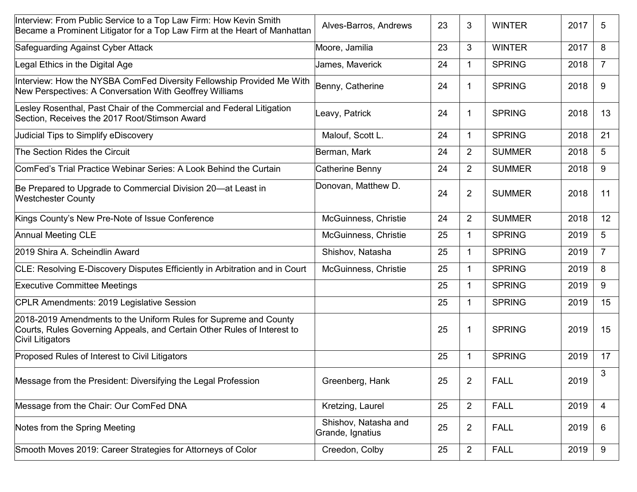| Interview: From Public Service to a Top Law Firm: How Kevin Smith<br>Became a Prominent Litigator for a Top Law Firm at the Heart of Manhattan                  | Alves-Barros, Andrews                    | 23 | 3              | <b>WINTER</b> | 2017 | 5              |
|-----------------------------------------------------------------------------------------------------------------------------------------------------------------|------------------------------------------|----|----------------|---------------|------|----------------|
| Safeguarding Against Cyber Attack                                                                                                                               | Moore, Jamilia                           | 23 | 3              | <b>WINTER</b> | 2017 | 8              |
| Legal Ethics in the Digital Age                                                                                                                                 | James, Maverick                          | 24 | $\mathbf 1$    | <b>SPRING</b> | 2018 | $\overline{7}$ |
| Interview: How the NYSBA ComFed Diversity Fellowship Provided Me With<br>New Perspectives: A Conversation With Geoffrey Williams                                | Benny, Catherine                         | 24 | 1              | <b>SPRING</b> | 2018 | 9              |
| Lesley Rosenthal, Past Chair of the Commercial and Federal Litigation<br>Section, Receives the 2017 Root/Stimson Award                                          | Leavy, Patrick                           | 24 | 1              | <b>SPRING</b> | 2018 | 13             |
| Judicial Tips to Simplify eDiscovery                                                                                                                            | Malouf, Scott L.                         | 24 | $\mathbf{1}$   | <b>SPRING</b> | 2018 | 21             |
| The Section Rides the Circuit                                                                                                                                   | Berman, Mark                             | 24 | $\overline{2}$ | <b>SUMMER</b> | 2018 | 5              |
| ComFed's Trial Practice Webinar Series: A Look Behind the Curtain                                                                                               | Catherine Benny                          | 24 | $\overline{2}$ | <b>SUMMER</b> | 2018 | 9              |
| Be Prepared to Upgrade to Commercial Division 20-at Least in<br><b>Westchester County</b>                                                                       | Donovan, Matthew D.                      | 24 | $\overline{2}$ | <b>SUMMER</b> | 2018 | 11             |
| Kings County's New Pre-Note of Issue Conference                                                                                                                 | McGuinness, Christie                     | 24 | $\overline{2}$ | <b>SUMMER</b> | 2018 | 12             |
| <b>Annual Meeting CLE</b>                                                                                                                                       | McGuinness, Christie                     | 25 | $\mathbf{1}$   | <b>SPRING</b> | 2019 | 5              |
| 2019 Shira A. Scheindlin Award                                                                                                                                  | Shishov, Natasha                         | 25 | $\mathbf 1$    | <b>SPRING</b> | 2019 | $\overline{7}$ |
| CLE: Resolving E-Discovery Disputes Efficiently in Arbitration and in Court                                                                                     | McGuinness, Christie                     | 25 | $\mathbf{1}$   | <b>SPRING</b> | 2019 | 8              |
| <b>Executive Committee Meetings</b>                                                                                                                             |                                          | 25 | $\mathbf 1$    | <b>SPRING</b> | 2019 | 9              |
| CPLR Amendments: 2019 Legislative Session                                                                                                                       |                                          | 25 | $\mathbf{1}$   | <b>SPRING</b> | 2019 | 15             |
| 2018-2019 Amendments to the Uniform Rules for Supreme and County<br>Courts, Rules Governing Appeals, and Certain Other Rules of Interest to<br>Civil Litigators |                                          | 25 | 1              | <b>SPRING</b> | 2019 | 15             |
| Proposed Rules of Interest to Civil Litigators                                                                                                                  |                                          | 25 | $\mathbf 1$    | <b>SPRING</b> | 2019 | 17             |
| Message from the President: Diversifying the Legal Profession                                                                                                   | Greenberg, Hank                          | 25 | $\overline{2}$ | <b>FALL</b>   | 2019 | ર              |
| Message from the Chair: Our ComFed DNA                                                                                                                          | Kretzing, Laurel                         | 25 | $\overline{2}$ | <b>FALL</b>   | 2019 | $\overline{4}$ |
| Notes from the Spring Meeting                                                                                                                                   | Shishov, Natasha and<br>Grande, Ignatius | 25 | $\overline{2}$ | <b>FALL</b>   | 2019 | 6              |
| Smooth Moves 2019: Career Strategies for Attorneys of Color                                                                                                     | Creedon, Colby                           | 25 | $\overline{2}$ | <b>FALL</b>   | 2019 | 9              |